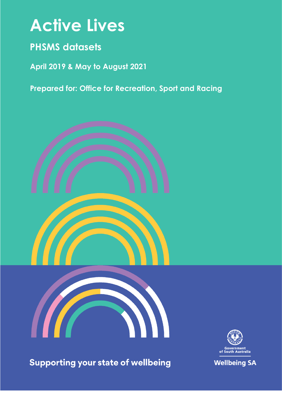# **Active Lives**

## **PHSMS datasets**

**April 2019 & May to August 2021**

**Prepared for: Office for Recreation, Sport and Racing**







**Supporting your state of wellbeing** 

**Wellbeing SA**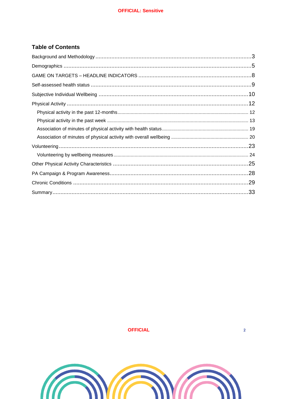## **Table of Contents**

**OFFICIAL** 

 $\overline{2}$ 

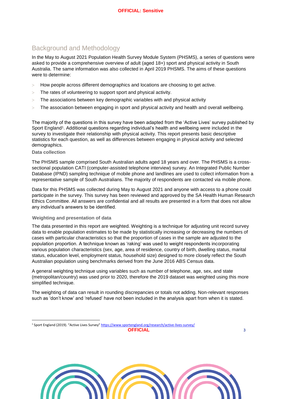## <span id="page-2-0"></span>Background and Methodology

In the May to August 2021 Population Health Survey Module System (PHSMS), a series of questions were asked to provide a comprehensive overview of adult (aged 18+) sport and physical activity in South Australia. The same information was also collected in April 2019 PHSMS. The aims of these questions were to determine:

- How people across different demographics and locations are choosing to get active.
- The rates of volunteering to support sport and physical activity.
- The associations between key demographic variables with and physical activity
- The association between engaging in sport and physical activity and health and overall wellbeing.

The majority of the questions in this survey have been adapted from the 'Active Lives' survey published by Sport England<sup>1</sup>. Additional questions regarding individual's health and wellbeing were included in the survey to investigate their relationship with physical activity. This report presents basic descriptive statistics for each question, as well as differences between engaging in physical activity and selected demographics.

#### **Data collection**

l

The PHSMS sample comprised South Australian adults aged 18 years and over. The PHSMS is a crosssectional population CATI (computer-assisted telephone interview) survey. An Integrated Public Number Database (IPND) sampling technique of mobile phone and landlines are used to collect information from a representative sample of South Australians. The majority of respondents are contacted via mobile phone.

Data for this PHSMS was collected during May to August 2021 and anyone with access to a phone could participate in the survey. This survey has been reviewed and approved by the SA Health Human Research Ethics Committee. All answers are confidential and all results are presented in a form that does not allow any individual's answers to be identified.

#### **Weighting and presentation of data**

The data presented in this report are weighted. Weighting is a technique for adjusting unit record survey data to enable population estimates to be made by statistically increasing or decreasing the numbers of cases with particular characteristics so that the proportion of cases in the sample are adjusted to the population proportion. A technique known as 'raking' was used to weight respondents incorporating various population characteristics (sex, age, area of residence, country of birth, dwelling status, marital status, education level, employment status, household size) designed to more closely reflect the South Australian population using benchmarks derived from the June 2016 ABS Census data.

A general weighting technique using variables such as number of telephone, age, sex, and state (metropolitan/country) was used prior to 2020, therefore the 2019 dataset was weighted using this more simplified technique.

The weighting of data can result in rounding discrepancies or totals not adding. Non-relevant responses such as 'don't know' and 'refused' have not been included in the analysis apart from when it is stated.



**OFFICIAL 3** <sup>1</sup> Sport England (2019). "Active Lives Survey" <https://www.sportengland.org/research/active-lives-survey/>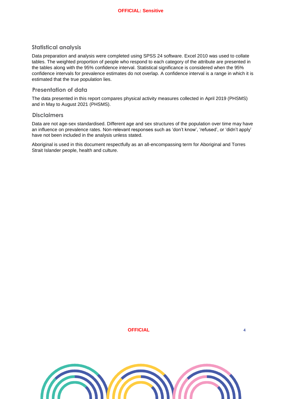#### **Statistical analysis**

Data preparation and analysis were completed using SPSS 24 software. Excel 2010 was used to collate tables. The weighted proportion of people who respond to each category of the attribute are presented in the tables along with the 95% confidence interval. Statistical significance is considered when the 95% confidence intervals for prevalence estimates do not overlap. A confidence interval is a range in which it is estimated that the true population lies.

#### **Presentation of data**

The data presented in this report compares physical activity measures collected in April 2019 (PHSMS) and in May to August 2021 (PHSMS).

#### **Disclaimers**

Data are not age-sex standardised. Different age and sex structures of the population over time may have an influence on prevalence rates. Non-relevant responses such as 'don't know', 'refused', or 'didn't apply' have not been included in the analysis unless stated.

Aboriginal is used in this document respectfully as an all-encompassing term for Aboriginal and Torres Strait Islander people, health and culture.

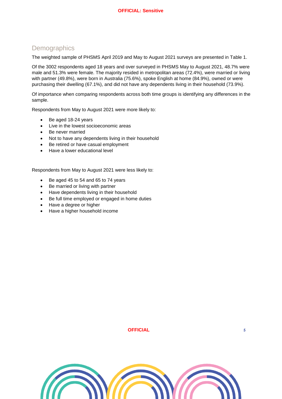## <span id="page-4-0"></span>**Demographics**

The weighted sample of PHSMS April 2019 and May to August 2021 surveys are presented in [Table 1.](#page-5-0)

Of the 3002 respondents aged 18 years and over surveyed in PHSMS May to August 2021, 48.7% were male and 51.3% were female. The majority resided in metropolitan areas (72.4%), were married or living with partner (49.8%), were born in Australia (75.6%), spoke English at home (84.9%), owned or were purchasing their dwelling (67.1%), and did not have any dependents living in their household (73.9%).

Of importance when comparing respondents across both time groups is identifying any differences in the sample.

Respondents from May to August 2021 were more likely to:

- Be aged 18-24 years
- Live in the lowest socioeconomic areas
- Be never married
- Not to have any dependents living in their household
- Be retired or have casual employment
- Have a lower educational level

Respondents from May to August 2021 were less likely to:

- Be aged 45 to 54 and 65 to 74 years
- Be married or living with partner
- Have dependents living in their household
- Be full time employed or engaged in home duties
- Have a degree or higher
- Have a higher household income

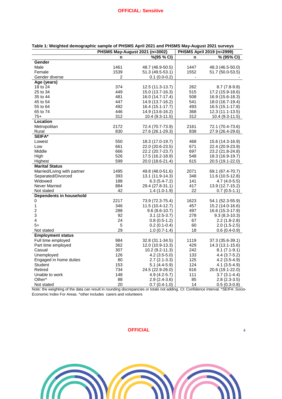|                                        |                  | PHSMS May-August 2021 (n=3002)      | PHSMS April 2019 (n=2999) |                                    |  |
|----------------------------------------|------------------|-------------------------------------|---------------------------|------------------------------------|--|
|                                        | n                | %(95 % CI)                          | n                         | % (95% CI)                         |  |
| Gender                                 |                  |                                     |                           |                                    |  |
| Male                                   | 1461             | 48.7 (46.9-50.5)                    | 1447                      | 48.3 (46.5-50.0)                   |  |
| Female                                 | 1539             | 51.3 (49.5-53.1)                    | 1552                      | 51.7 (50.0-53.5)                   |  |
| Gender diverse                         | 2                | $0.1(0.0-0.2)$                      |                           |                                    |  |
| Age (years)                            |                  |                                     |                           |                                    |  |
| 18 to 24                               | 374              | 12.5 (11.3-13.7)                    | 262                       | $8.7(7.8-9.8)$                     |  |
| 25 to 34                               | 449              | 15.0 (13.7-16.3)                    | 515                       | 17.2 (15.9-18.6)                   |  |
| 35 to 44                               | 481              | 16.0 (14.7-17.4)                    | 508                       | 16.9 (15.6-18.3)                   |  |
| 45 to 54                               | 447              | 14.9 (13.7-16.2)                    | 541                       | 18.0 (16.7-19.4)                   |  |
| 55 to 64                               | 492              | 16.4 (15.1-17.7)                    | 493                       | 16.5 (15.1-17.8)                   |  |
| 65 to 74                               | 446              | 14.9 (13.6-16.2)                    | 368                       | 12.3 (11.1-13.5)                   |  |
| $75+$                                  | 312              | 10.4 (9.3-11.5)                     | 312                       | 10.4 (9.3-11.5)                    |  |
| <b>Location</b>                        |                  |                                     |                           |                                    |  |
| Metropolitan                           | 2172             | 72.4 (70.7-73.9)                    | 2161                      | 72.1 (70.4-73.6)                   |  |
| Rural                                  | 830              | 27.6 (26.1-29.3)                    | 838                       | 27.9 (26.4-29.6)                   |  |
| <b>SEIFA*</b>                          |                  |                                     |                           |                                    |  |
| Lowest                                 | 550              | 18.3 (17.0-19.7)                    | 468                       | 15.6 (14.3-16.9)                   |  |
| Low                                    | 661              | 22.0 (20.6-23.5)                    | 671                       | 22.4 (20.9-23.9)                   |  |
| Middle                                 | 666              | 22.2 (20.7-23.7)                    | 697                       | 23.2 (21.8-24.8)                   |  |
| High                                   | 526              | 17.5 (16.2-18.9)                    | 548                       | 18.3 (16.9-19.7)                   |  |
| Highest                                | 599              | 20.0 (18.6-21.4)                    | 615                       | 20.5 (19.1-22.0)                   |  |
| <b>Marital Status</b>                  |                  |                                     |                           |                                    |  |
| Married/Living with partner            | 1495             | 49.8 (48.0-51.6)                    | 2071                      | 69.1 (67.4-70.7)                   |  |
| Separated/Divorced                     | 393              | 13.1 (11.9-14.3)                    | 348                       | 11.6 (10.5-12.8)                   |  |
| Widowed                                | 188              | 6.3 (5.4-7.2)                       | 141                       | 4.7 (4.0-5.5)                      |  |
| Never Married                          | 884              | 29.4 (27.8-31.1)                    | 417                       | 13.9 (12.7-15.2)                   |  |
| Not stated                             | 42               | 1.4 (1.0-1.9)                       | 22                        | $0.7(0.5-1.1)$                     |  |
| Dependents in household                |                  |                                     |                           |                                    |  |
| 0                                      | 2217             | 73.9 (72.3-75.4)                    | 1623                      | 54.1 (52.3-55.9)                   |  |
| $\mathbf{1}$                           | 346              | 11.5 (10.4-12.7)                    | 457                       | 15.2 (14.0-16.6)                   |  |
| $\overline{c}$                         | 288              | $9.6(8.6-10.7)$                     | 497                       | 16.6 (15.3-17.9)                   |  |
| 3                                      | 92               | $3.1(2.5-3.7)$                      | 278                       | $9.3(8.3-10.3)$                    |  |
| 4                                      | 24<br>$\sqrt{5}$ | $0.8(0.5-1.2)$                      | 67<br>60                  | $2.2(1.8-2.8)$                     |  |
| $5+$                                   | 29               | $0.2(0.1-0.4)$                      | 18                        | $2.0(1.5-2.5)$                     |  |
| Not stated<br><b>Employment status</b> |                  | $1.0(0.7-1.4)$                      |                           | $0.6(0.4-0.9)$                     |  |
| Full time employed                     | 984              | 32.8 (31.1-34.5)                    | 1119                      | 37.3 (35.6-39.1)                   |  |
| Part time employed                     | 362              |                                     | 429                       |                                    |  |
| Casual                                 | 307              | 12.0 (10.9-13.3)<br>10.2 (9.2-11.3) | 242                       | 14.3 (13.1-15.6)<br>$8.1(7.1-9.1)$ |  |
| Unemployed                             | 126              | $4.2(3.5-5.0)$                      | 133                       | 4.4 (3.7-5.2)                      |  |
| Engaged in home duties                 | 80               | $2.7(2.1-3.3)$                      | 125                       | 4.2 (3.5-4.9)                      |  |
| Student                                | 153              | $5.1(4.4-5.9)$                      | 124                       | $4.1(3.5-4.9)$                     |  |
| Retired                                | 734              | 24.5 (22.9-26.0)                    | 616                       | 20.6 (19.1-22.0)                   |  |
| Unable to work                         | 148              | 4.9 (4.2-5.7)                       | 111                       | $3.7(3.1-4.4)$                     |  |
| Other <sup>^</sup>                     | 88               | $2.9(2.4-3.6)$                      | 85                        | $2.8(2.3-3.5)$                     |  |
| Not stated                             | 20               | $0.7(0.4-1.0)$                      | 14                        | $0.5(0.3-0.8)$                     |  |
|                                        |                  |                                     |                           |                                    |  |

<span id="page-5-0"></span>

Note: the weighting of the data can result in rounding discrepancies or totals not adding. CI: Confidence Interval. \*SEIFA: Socio-Economic Index For Areas. ^other includes carers and volunteers

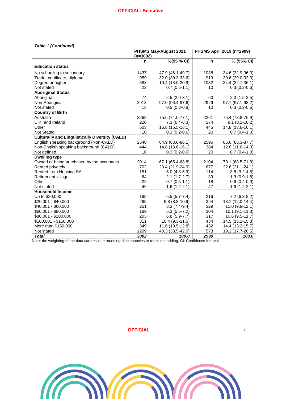#### *Table 1 (Continued)*

|                                                       |            | <b>PHSMS May-August 2021</b> | PHSMS April 2019 (n=2999) |                     |  |
|-------------------------------------------------------|------------|------------------------------|---------------------------|---------------------|--|
|                                                       | $(n=3002)$ |                              |                           |                     |  |
|                                                       | n          | %(95 % CI)                   | n                         | % (95% CI)          |  |
| <b>Education status</b>                               |            |                              |                           |                     |  |
| No schooling to secondary                             | 1437       | 47.9 (46.1-49.7)             | 1038                      | 34.6 (32.9-36.3)    |  |
| Trade, certificate, diploma                           | 959        | 32.0 (30.3-33.6)             | 919                       | 30.6 (29.0-32.3)    |  |
| Degree or higher                                      | 583        | 19.4 (18.0-20.9)             | 1032                      | 34.4 (32.7-36.1)    |  |
| Not stated                                            | 22         | $0.7(0.5-1.1)$               | 10                        | $0.3(0.2-0.6)$      |  |
| <b>Aboriginal Status</b>                              |            |                              |                           |                     |  |
| Aboriginal                                            | 74         | $2.5(2.0-3.1)$               | 60                        | $2.0(1.5-2.5)$      |  |
| Non-Aboriginal                                        | 2913       | 97.0 (96.4-97.6)             | 2929                      | 97.7 (97.1-98.2)    |  |
| Not stated                                            | 15         | $0.5(0.3-0.8)$               | 10                        | $0.3(0.2-0.6)$      |  |
| <b>Country of Birth</b>                               |            |                              |                           |                     |  |
| Australia                                             | 2269       | 75.6 (74.0-77.1)             | 2261                      | 75.4 (73.8-76.9)    |  |
| U.K. and Ireland                                      | 220        | $7.3(6.4-8.3)$               | 274                       | $9.1(8.1-10.2)$     |  |
| Other                                                 | 503        | 16.8 (15.5-18.1)             | 445                       | 14.8 (13.6-16.1)    |  |
| <b>Not Stated</b>                                     | 10         | $0.3(0.2-0.6)$               | 20                        | $0.7(0.4-1.0)$      |  |
| <b>Culturally and Linguistically Diversity (CALD)</b> |            |                              |                           |                     |  |
| English speaking background (Non-CALD)                | 2548       | 84.9 (83.6-86.1)             | 2596                      | 86.6 (85.3-87.7)    |  |
| Non-English speaking background (CALD)                | 444        | 14.8 (13.6-16.1)             | 384                       | 12.8 (11.6-14.0)    |  |
| Not defined                                           | 10         | $0.3(0.2-0.6)$               | 20                        | $0.7(0.4-1.0)$      |  |
| <b>Dwelling type</b>                                  |            |                              |                           |                     |  |
| Owned or being purchased by the occupants             | 2014       | 67.1 (65.4-68.8)             | 2104                      | 70.1 (68.5-71.8)    |  |
| Rented privately                                      | 702        | 23.4 (21.9-24.9)             | 677                       | 22.6 (21.1-24.1)    |  |
| Rented from Housing SA                                | 151        | $5.0(4.3-5.9)$               | 114                       | $3.8(3.2 - 4.5)$    |  |
| Retirement village                                    | 64         | $2.1(1.7-2.7)$               | 39                        | $1.3(0.9-1.8)$      |  |
| Other                                                 | 22         | $0.7(0.5-1.1)$               | 18                        | $0.6(0.4-0.9)$      |  |
| Not stated                                            | 49         | $1.6(1.2-2.1)$               | 47                        | $1.6(1.2-2.1)$      |  |
| <b>Household Income</b>                               |            |                              |                           |                     |  |
| Up to \$20,000                                        | 195        | $6.5(5.7 - 7.4)$             | 216                       | $7.2(6.3-8.2)$      |  |
| $$20,001 - $40,000$                                   | 295        | $9.8(8.8-10.9)$              | 394                       | 13.1 (12.0-14.4)    |  |
| $$40,001 - $60,000$                                   | 251        | $8.3(7.4-9.4)$               | 329                       | $11.0(9.9-12.1)$    |  |
| \$60,001 - \$80,000                                   | 189        | $6.3(5.5-7.2)$               | 304                       | $10.1 (9.1 - 11.3)$ |  |
| \$80,001 - \$100,000                                  | 203        | $6.8(5.9-7.7)$               | 317                       | 10.6 (9.5-11.7)     |  |
| \$100,001 - \$150,000                                 | 311        | 10.4 (9.3-11.5)              | 434                       | 14.5 (13.2-15.8)    |  |
| More than \$150,000                                   | 349        | 11.6 (10.5-12.8)             | 432                       | 14.4 (13.2-15.7)    |  |
| Not stated                                            | 1209       | 40.3 (38.5-42.0)             | 573                       | 19.1 (17.7-20.5)    |  |
| <b>Total</b>                                          | 3002       | 100.0                        | 2999                      | 100.0               |  |

Note: the weighting of the data can result in rounding discrepancies or totals not adding. CI: Confidence Interval.

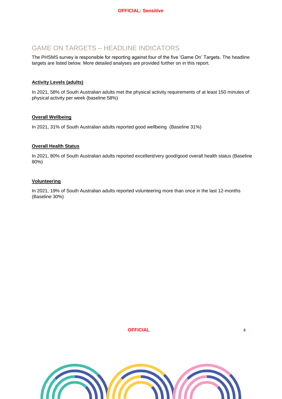## <span id="page-7-0"></span>GAME ON TARGETS – HEADLINE INDICATORS

The PHSMS survey is responsible for reporting against four of the five 'Game On' Targets. The headline targets are listed below. More detailed analyses are provided further on in this report.

#### **Activity Levels (adults)**

In 2021, 58% of South Australian adults met the physical activity requirements of at least 150 minutes of physical activity per week (baseline 58%)

#### **Overall Wellbeing**

In 2021, 31% of South Australian adults reported good wellbeing (Baseline 31%)

#### **Overall Health Status**

In 2021, 80% of South Australian adults reported excellent/very good/good overall health status (Baseline 80%)

#### **Volunteering**

In 2021, 19% of South Australian adults reported volunteering more than once in the last 12-months (Baseline 30%)

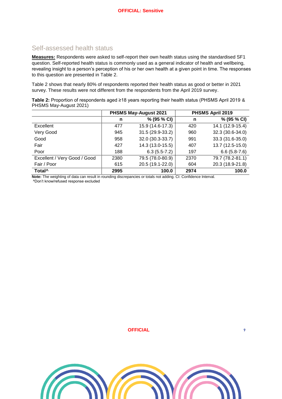## <span id="page-8-0"></span>Self-assessed health status

**Measures:** Respondents were asked to self-report their own health status using the standardised SF1 question. Self-reported health status is commonly used as a general indicator of health and wellbeing, revealing insight to a person's perception of his or her own health at a given point in time. The responses to this question are presented in [Table 2.](#page-8-1)

[Table 2](#page-8-1) shows that nearly 80% of respondents reported their health status as good or better in 2021 survey. These results were not different from the respondents from the April 2019 survey.

<span id="page-8-1"></span>**Table 2:** Proportion of respondents aged ≥18 years reporting their health status (PHSMS April 2019 & PHSMS May-August 2021)

|                              |      | <b>PHSMS May-August 2021</b> |      | PHSMS April 2019 |
|------------------------------|------|------------------------------|------|------------------|
|                              | n    | % (95 % CI)                  | n    | % (95 % CI)      |
| Excellent                    | 477  | 15.9 (14.6-17.3)             | 420  | 14.1 (12.9-15.4) |
| Very Good                    | 945  | 31.5 (29.9-33.2)             | 960  | 32.3 (30.6-34.0) |
| Good                         | 958  | 32.0 (30.3-33.7)             | 991  | 33.3 (31.6-35.0) |
| Fair                         | 427  | 14.3 (13.0-15.5)             | 407  | 13.7 (12.5-15.0) |
| Poor                         | 188  | $6.3(5.5-7.2)$               | 197  | $6.6(5.8-7.6)$   |
| Excellent / Very Good / Good | 2380 | 79.5 (78.0-80.9)             | 2370 | 79.7 (78.2-81.1) |
| Fair / Poor                  | 615  | 20.5 (19.1-22.0)             | 604  | 20.3 (18.9-21.8) |
| Total <sup>^</sup>           | 2995 | 100.0                        | 2974 | 100.0            |

**Note:** The weighting of data can result in rounding discrepancies or totals not adding. CI: Confidence Interval. ^Don't know/refused response excluded

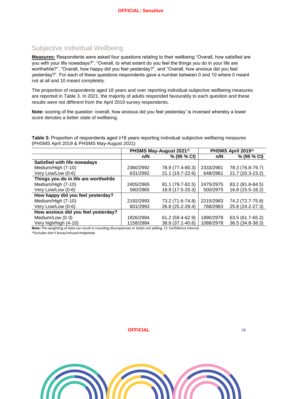## <span id="page-9-0"></span>Subjective Individual Wellbeing

**Measures:** Respondents were asked four questions relating to their wellbeing "Overall, how satisfied are you with your life nowadays?", "Overall, to what extent do you feel the things you do in your life are worthwhile?", "Overall, how happy did you feel yesterday?", and "Overall, how anxious did you feel yesterday?". For each of these questions respondents gave a number between 0 and 10 where 0 meant not at all and 10 meant completely.

The proportion of respondents aged 18 years and over reporting individual subjective wellbeing measures are reported in [Table 3.](#page-9-1) In 2021, the majority of adults responded favourably to each question and these results were not different from the April 2019 survey respondents.

**Note:** scoring of the question 'overall, how anxious did you feel yesterday' is inversed whereby a lower score denotes a better state of wellbeing.

<span id="page-9-1"></span>**Table 3:** Proportion of respondents aged ≥18 years reporting individual subjective wellbeing measures (PHSMS April 2019 & PHSMS May-August 2021)

|                                      |           | PHSMS May-August 2021^ |           | PHSMS April 2019^ |
|--------------------------------------|-----------|------------------------|-----------|-------------------|
|                                      | n/N       | % (95 % CI)            | n/N       | % (95 % CI)       |
| Satisfied with life nowadays         |           |                        |           |                   |
| Medium/High (7-10)                   | 2360/2992 | 78.9 (77.4-80.3)       | 2333/2981 | 78.3 (76.8-79.7)  |
| Very Low/Low (0-6)                   | 631/2992  | 21.1 (19.7-22.6)       | 648/2981  | 21.7 (20.3-23.2)  |
| Things you do in life are worthwhile |           |                        |           |                   |
| Medium/High (7-10)                   | 2405/2965 | 81.1 (79.7-82.5)       | 2475/2975 | 83.2 (81.8-84.5)  |
| Very Low/Low (0-6)                   | 560/2965  | 18.9 (17.5-20.3)       | 500/2975  | 16.8 (15.5-18.2)  |
| How happy did you feel yesterday?    |           |                        |           |                   |
| Medium/High (7-10)                   | 2192/2993 | 73.2 (71.6-74.8)       | 2215/2983 | 74.2 (72.7-75.8)  |
| Very Low/Low (0-6)                   | 801/2993  | 26.8 (25.2-28.4)       | 768/2983  | 25.8 (24.2-27.3)  |
| How anxious did you feel yesterday?  |           |                        |           |                   |
| Medium/Low (0-3)                     | 1826/2984 | 61.2 (59.4-62.9)       | 1890/2978 | 63.5 (61.7-65.2)  |
| Very high/high (4-10)                | 1158/2984 | 38.8 (37.1-40.6)       | 1088/2978 | 36.5 (34.8-38.3)  |

**Note:** The weighting of data can result in rounding discrepancies or totals not adding. CI: Confidence Interval. ^Excludes don't know/refused response

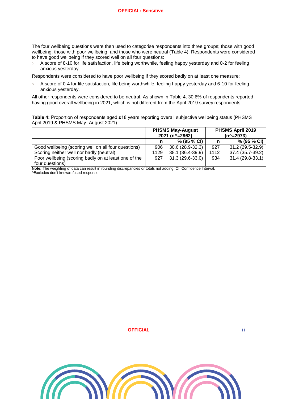The four wellbeing questions were then used to categorise respondents into three groups; those with good wellbeing, those with poor wellbeing, and those who were neutral [\(Table 4\)](#page-10-0). Respondents were considered to have good wellbeing if they scored well on all four questions:

 A score of 8-10 for life satisfaction, life being worthwhile, feeling happy yesterday and 0-2 for feeling anxious yesterday.

Respondents were considered to have poor wellbeing if they scored badly on at least one measure:

 A score of 0-4 for life satisfaction, life being worthwhile, feeling happy yesterday and 6-10 for feeling anxious yesterday.

All other respondents were considered to be neutral. As shown in [Table 4,](#page-10-0) 30.6% of respondents reported having good overall wellbeing in 2021, which is not different from the April 2019 survey respondents .

<span id="page-10-0"></span>**Table 4:** Proportion of respondents aged ≥18 years reporting overall subjective wellbeing status (PHSMS April 2019 & PHSMS May- August 2021)

|                                                      |      | <b>PHSMS May-August</b><br>2021 (n^=2962) |      | PHSMS April 2019<br>$(n^2=2973)$ |
|------------------------------------------------------|------|-------------------------------------------|------|----------------------------------|
|                                                      |      | % (95 % CI)                               |      | % (95 % CI)                      |
| Good wellbeing (scoring well on all four questions)  | 906  | $30.6(28.9-32.3)$                         | 927  | 31.2 (29.5-32.9)                 |
| Scoring neither well nor badly (neutral)             | 1129 | 38.1 (36.4-39.9)                          | 1112 | 37.4 (35.7-39.2)                 |
| Poor wellbeing (scoring badly on at least one of the | 927  | 31.3 (29.6-33.0)                          | 934  | 31.4 (29.8-33.1)                 |
| four questions)                                      |      |                                           |      |                                  |

**Note:** The weighting of data can result in rounding discrepancies or totals not adding. CI: Confidence Interval. ^Excludes don't know/refused response

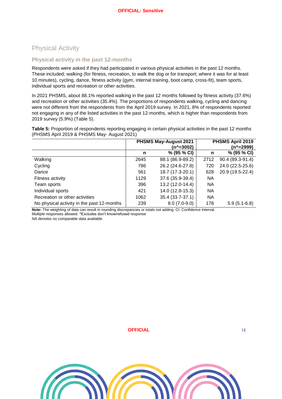## <span id="page-11-0"></span>Physical Activity

#### <span id="page-11-1"></span>**Physical activity in the past 12-months**

Respondents were asked if they had participated in various physical activities in the past 12 months. These included; walking (for fitness, recreation, to walk the dog or for transport; where it was for at least 10 minutes), cycling, dance, fitness activity (gym, internal training, boot camp, cross-fit), team sports, individual sports and recreation or other activities.

In 2021 PHSMS, about 88.1% reported walking in the past 12 months followed by fitness activity (37.6%) and recreation or other activities (35.4%). The proportions of respondents walking, cycling and dancing were not different from the respondents from the April 2019 survey. In 2021, 8% of respondents reported not engaging in any of the listed activities in the past 12-months, which is higher than respondents from 2019 survey (5.9%) [\(Table 5\)](#page-11-2).

<span id="page-11-2"></span>**Table 5:** Proportion of respondents reporting engaging in certain physical activities in the past 12 months (PHSMS April 2019 & PHSMS May- August 2021)

|                                            |      | <b>PHSMS May-August 2021</b> |           | PHSMS April 2019 |
|--------------------------------------------|------|------------------------------|-----------|------------------|
|                                            |      | (n^=3002)                    |           | $(n^2=2999)$     |
|                                            | n    | % (95 % CI)                  | n         | % (95 % CI)      |
| Walking                                    | 2645 | 88.1 (86.9-89.2)             | 2712      | 90.4 (89.3-91.4) |
| Cycling                                    | 786  | 26.2 (24.6-27.8)             | 720       | 24.0 (22.5-25.6) |
| Dance                                      | 561  | 18.7 (17.3-20.1)             | 628       | 20.9 (19.5-22.4) |
| Fitness activity                           | 1129 | 37.6 (35.9-39.4)             | <b>NA</b> |                  |
| Team sports                                | 396  | 13.2 (12.0-14.4)             | <b>NA</b> |                  |
| Individual sports                          | 421  | 14.0 (12.8-15.3)             | <b>NA</b> |                  |
| Recreation or other activities             | 1062 | 35.4 (33.7-37.1)             | NA        |                  |
| No physical activity in the past 12-months | 239  | $8.0(7.0-9.0)$               | 178       | $5.9(5.1-6.8)$   |

**Note:** The weighting of data can result in rounding discrepancies or totals not adding. CI: Confidence Interval. Multiple responses allowed. ^Excludes don't know/refused response

NA denotes no comparable data available.

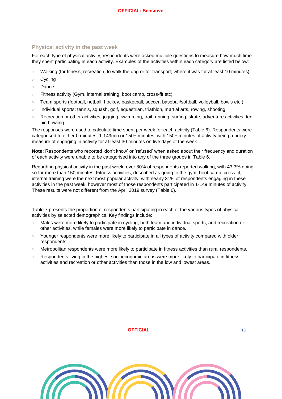#### <span id="page-12-0"></span>**Physical activity in the past week**

For each type of physical activity, respondents were asked multiple questions to measure how much time they spent participating in each activity. Examples of the activities within each category are listed below:

- Walking (for fitness, recreation, to walk the dog or for transport; where it was for at least 10 minutes)
- Cycling
- Dance
- Fitness activity (Gym, internal training, boot camp, cross-fit etc)
- Team sports (football, netball, hockey, basketball, soccer, baseball/softball, volleyball, bowls etc.)
- Individual sports: tennis, squash, golf, equestrian, triathlon, martial arts, rowing, shooting
- Recreation or other activities: jogging, swimming, trail running, surfing, skate, adventure activities, tenpin bowling

The responses were used to calculate time spent per week for each activity [\(Table 6\)](#page-13-0). Respondents were categorised to either 0 minutes, 1-149min or 150+ minutes, with 150+ minutes of activity being a proxy measure of engaging in activity for at least 30 minutes on five days of the week.

**Note:** Respondents who reported 'don't know' or 'refused' when asked about their frequency and duration of each activity were unable to be categorised into any of the three groups in [Table 6.](#page-13-0)

Regarding physical activity in the past week, over 80% of respondents reported walking, with 43.3% doing so for more than 150 minutes. Fitness activities, described as going to the gym, boot camp, cross fit, internal training were the next most popular activity, with nearly 31% of respondents engaging in these activities in the past week, however most of those respondents participated in 1-149 minutes of activity. These results were not different from the April 2019 survey [\(Table 6\)](#page-13-0).

[Table 7](#page-14-0) presents the proportion of respondents participating in each of the various types of physical activities by selected demographics. Key findings include:

- Males were more likely to participate in cycling, both team and individual sports, and recreation or other activities, while females were more likely to participate in dance.
- Younger respondents were more likely to participate in all types of activity compared with older respondents
- Metropolitan respondents were more likely to participate in fitness activities than rural respondents.
- Respondents living in the highest socioeconomic areas were more likely to participate in fitness activities and recreation or other activities than those in the low and lowest areas.

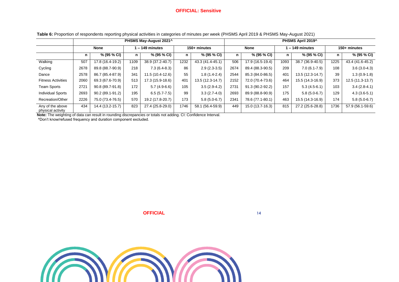#### **OFFICIAL: Sensitive**

**Table 6:** Proportion of respondents reporting physical activities in categories of minutes per week (PHSMS April 2019 & PHSMS May-August 2021)

|                                       | PHSMS May-August 2021^ |                  |                |                  |              |                  |             | PHSMS April 2019^ |               |                  |              |                  |   |             |
|---------------------------------------|------------------------|------------------|----------------|------------------|--------------|------------------|-------------|-------------------|---------------|------------------|--------------|------------------|---|-------------|
|                                       | <b>None</b>            |                  | $-149$ minutes |                  | 150+ minutes |                  | <b>None</b> |                   | - 149 minutes |                  | 150+ minutes |                  |   |             |
|                                       | n                      | % (95 % CI)      | n.             | % (95 % CI)      | n            | % (95 % CI)      | n           | % (95 % CI)       |               |                  |              | % (95 % CI)      | n | % (95 % CI) |
| Walking                               | 507                    | 17.8 (16.4-19.2) | 1109           | 38.9 (37.2-40.7) | 1232         | 43.3 (41.4-45.1) | 506         | 17.9 (16.5-19.4)  | 1093          | 38.7 (36.9-40.5) | 1225         | 43.4 (41.6-45.2) |   |             |
| Cycling                               | 2678                   | 89.8 (88.7-90.9) | 218            | $7.3(6.4-8.3)$   | 86           | $2.9(2.3-3.5)$   | 2674        | 89.4 (88.3-90.5)  | 209           | $7.0(6.1-7.9)$   | 108          | $3.6(3.0-4.3)$   |   |             |
| Dance                                 | 2578                   | 86.7 (85.4-87.9) | 341            | 11.5 (10.4-12.6) | 55           | $1.8(1.4-2.4)$   | 2544        | 85.3 (84.0-86.5)  | 401           | 13.5 (12.3-14.7) | 39           | $1.3(0.9-1.8)$   |   |             |
| <b>Fitness Activities</b>             | 2060                   | 69.3 (67.6-70.9) | 513            | 17.3 (15.9-18.6) | 401          | 13.5 (12.3-14.7) | 2152        | 72.0 (70.4-73.6)  | 464           | 15.5 (14.3-16.9) | 373          | 12.5 (11.3-13.7) |   |             |
| <b>Team Sports</b>                    | 2721                   | 90.8 (89.7-91.8) | 172            | $5.7(4.9-6.6)$   | 105          | $3.5(2.9-4.2)$   | 2731        | 91.3 (90.2-92.2)  | 157           | $5.3(4.5-6.1)$   | 103          | $3.4(2.8-4.1)$   |   |             |
| <b>Individual Sports</b>              | 2693                   | 90.2 (89.1-91.2) | 195            | $6.5(5.7 - 7.5)$ | 99           | $3.3(2.7-4.0)$   | 2693        | 89.9 (88.8-90.9)  | 175           | $5.8(5.0-6.7)$   | 129          | $4.3(3.6-5.1)$   |   |             |
| Recreation/Other                      | 2226                   | 75.0 (73.4-76.5) | 570            | 19.2 (17.8-20.7) | 173          | $5.8(5.0-6.7)$   | 2341        | 78.6 (77.1-80.1)  | 463           | 15.5 (14.3-16.9) | 174          | $5.8(5.0-6.7)$   |   |             |
| Any of the above<br>physical activity | 434                    | 14.4 (13.2-15.7) | 823            | 27.4 (25.8-29.0) | 1746         | 58.1 (56.4-59.9) | 449         | 15.0 (13.7-16.3)  | 815           | 27.2 (25.6-28.8) | 1736         | 57.9 (56.1-59.6) |   |             |

**Note:** The weighting of data can result in rounding discrepancies or totals not adding. CI: Confidence Interval.

<span id="page-13-0"></span>^Don't know/refused frequency and duration component excluded.



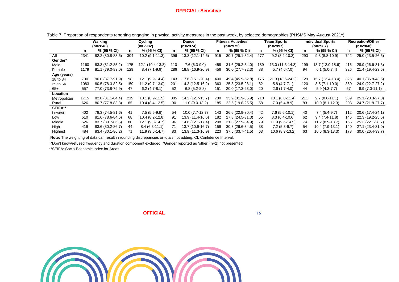#### **OFFICIAL: Sensitive**

|              | Walking<br>Cycling<br>(n=2848)<br>(n=2982) |                  |     | <b>Fitness Activities</b><br>Dance<br>$(n=2975)$<br>(n=2974) |     |                  | <b>Team Sports</b><br>(n=2997) |                   |     | <b>Individual Sports</b><br>$(n=2987)$ | <b>Recreation/Other</b><br>$(n=2968)$ |                  |     |                  |
|--------------|--------------------------------------------|------------------|-----|--------------------------------------------------------------|-----|------------------|--------------------------------|-------------------|-----|----------------------------------------|---------------------------------------|------------------|-----|------------------|
|              | n                                          | % (95 % CI)      | n   | $% (95\% CI)$                                                | n   | % (95 % CI)      | n                              | % (95 % CI)       | n   | % (95 % CI)                            | n                                     | % (95 % CI)      | n   | % (95 % CI)      |
| All          | 2341                                       | 82.2 (80.8-83.6) | 304 | $10.2(9.1-11.3)$                                             | 396 | 13.3 (12.1-14.6) | 915                            | 30.7 (29.1-32.4)  | 277 | $9.2(8.2 - 10.3)$                      | 293                                   | $9.8(8.8-10.9)$  | 742 | 25.0 (23.5-26.6) |
| Gender*      |                                            |                  |     |                                                              |     |                  |                                |                   |     |                                        |                                       |                  |     |                  |
| Male         | 1160                                       | 83.3 (81.2-85.2) | 175 | 12.1 (10.4-13.8)                                             | 110 | $7.6(6.3-9.0)$   | 458                            | 31.6 (29.2-34.0)  | 189 | 13.0 (11.3-14.8)                       | 199                                   | 13.7 (12.0-15.6) | 416 | 28.9 (26.6-31.3) |
| Female       | 1179                                       | 81.1 (79.0-83.0) | 129 | $8.4(7.1-9.9)$                                               | 286 | 18.8 (16.9-20.9) | 456                            | $30.0(27.7-32.3)$ | 88  | $5.7(4.6-7.0)$                         | 94                                    | $6.1(5.0-7.4)$   | 326 | 21.4 (19.4-23.5) |
| Age (years)  |                                            |                  |     |                                                              |     |                  |                                |                   |     |                                        |                                       |                  |     |                  |
| 18 to 34     | 700                                        | 90.0 (87.7-91.9) | 98  | 12.1 (9.9-14.4)                                              | 143 | 17.6 (15.1-20.4) | 400                            | 49.4 (45.9-52.8)  | 175 | 21.3 (18.6-24.2)                       | 129                                   | 15.7 (13.4-18.4) | 325 | 40.1 (36.8-43.5) |
| 35 to 64     | 1083                                       | 80.5 (78.3-82.5) | 159 | 11.2 (9.7-13.0)                                              | 201 | 14.3 (12.5-16.2) | 363                            | 25.8 (23.5-28.1)  | 82  | $5.8(4.7 - 7.1)$                       | 120                                   | $8.5(7.1-10.0)$  | 350 | 24.9 (22.7-27.2) |
| $65+$        | 557                                        | 77.0 (73.8-79.9) | 47  | $6.2(4.7-8.1)$                                               | 52  | $6.8(5.2-8.8)$   | 151                            | 20.0 (17.3-23.0)  | 20  | $2.6(1.7-4.0)$                         | 44                                    | 5.9 (4.3-7.7)    | 67  | $8.9(7.0-11.1)$  |
| Location     |                                            |                  |     |                                                              |     |                  |                                |                   |     |                                        |                                       |                  |     |                  |
| Metropolitan | 1715                                       | 82.8 (81.1-84.4) | 219 | $10.1(8.9-11.5)$                                             | 305 | 14.2 (12.7-15.7) | 730                            | 33.9 (31.9-35.9)  | 218 | $10.1 (8.8 - 11.4)$                    | 211                                   | $9.7(8.6-11.1)$  | 539 | 25.1 (23.3-27.0) |
| Rural        | 626                                        | 80.7 (77.8-83.3) | 85  | $10.4(8.4-12.5)$                                             | 90  | 11.0 (9.0-13.2)  | 185                            | 22.5 (19.8-25.5)  | 58  | $7.0(5.4-8.9)$                         | 83                                    | $10.0(8.1-12.3)$ | 203 | 24.7 (21.8-27.7) |
| SEIFA**      |                                            |                  |     |                                                              |     |                  |                                |                   |     |                                        |                                       |                  |     |                  |
| Lowest       | 402                                        | 78.3 (74.5-81.6) | 41  | $7.5(5.5-9.9)$                                               | 54  | $10.0(7.7-12.7)$ | 143                            | 26.6 (22.9-30.4)  | 42  | $7.6(5.6-10.1)$                        | 40                                    | 7.4 (5.4-9.7)    | 112 | 20.6 (17.4-24.1) |
| Low          | 510                                        | 81.6 (78.6-84.6) | 68  | $10.4(8.2-12.8)$                                             | 91  | 13.9 (11.4-16.6) | 182                            | 27.8 (24.5-31.3)  | 55  | $8.3(6.4-10.6)$                        | 62                                    | $9.4(7.4-11.8)$  | 146 | 22.3 (19.2-25.5) |
| Middle       | 526                                        | 83.7 (80.7-86.5) | 80  | 12.1 (9.8-14.7)                                              | 96  | 14.6 (12.1-17.4) | 208                            | 31.3 (27.9-34.9)  | 79  | 11.9 (9.6-14.5)                        | 74                                    | $11.2(8.9-13.7)$ | 166 | 25.3 (22.1-28.7) |
| High         | 419                                        | 83.6 (80.2-86.7) | 44  | $8.4(6.3 \cdot 11.1)$                                        | 71  | 13.7 (10.9-16.7) | 159                            | $30.3(26.6-34.5)$ | 38  | $7.2(5.3-9.7)$                         | 54                                    | $10.4(7.9-13.1)$ | 140 | 27.1 (23.4-31.0) |
| Highest      | 484                                        | 83.4 (80.1-86.2) | 71  | 11.9 (9.5-14.7)                                              | 83  | 13.9 (11.3-16.9) | 223                            | 37.5 (33.7-41.5)  | 63  | 10.6 (8.3-13.2)                        | 63                                    | $10.6(8.3-13.3)$ | 178 | 30.0 (26.4-33.7) |

Table 7: Proportion of respondents reporting engaging in physical activity measures in the past week, by selected demographics (PHSMS May-August 2021^)

**Note:** The weighting of data can result in rounding discrepancies or totals not adding. CI: Confidence Interval.

^Don't know/refused frequency and duration component excluded. \*Gender reported as 'other' (n=2) not presented

<span id="page-14-0"></span>\*\*SEIFA: Socio-Economic Index for Areas



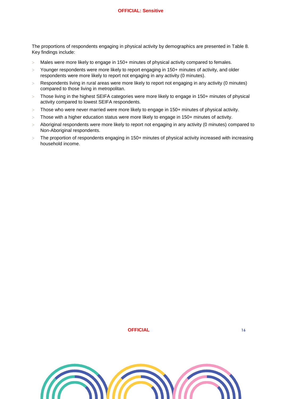The proportions of respondents engaging in physical activity by demographics are presented in [Table 8.](#page-16-0) Key findings include:

- Males were more likely to engage in 150+ minutes of physical activity compared to females.
- Younger respondents were more likely to report engaging in 150+ minutes of activity, and older respondents were more likely to report not engaging in any activity (0 minutes).
- Respondents living in rural areas were more likely to report not engaging in any activity (0 minutes) compared to those living in metropolitan.
- $>$  Those living in the highest SEIFA categories were more likely to engage in 150+ minutes of physical activity compared to lowest SEIFA respondents.
- $>$  Those who were never married were more likely to engage in 150+ minutes of physical activity.
- $>$  Those with a higher education status were more likely to engage in 150+ minutes of activity.
- Aboriginal respondents were more likely to report not engaging in any activity (0 minutes) compared to Non-Aboriginal respondents.
- The proportion of respondents engaging in 150+ minutes of physical activity increased with increasing household income.

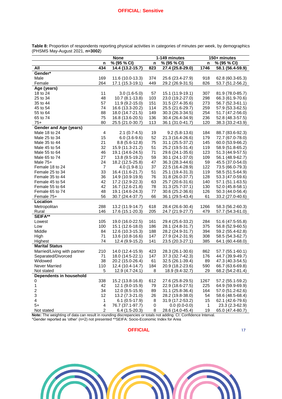|                               | <b>None</b>    |                  |     | 1-149 minutes     | 150+ minutes |                  |  |
|-------------------------------|----------------|------------------|-----|-------------------|--------------|------------------|--|
|                               | n              | % (95 % CI)      | n   | % (95 % CI)       | n            | % (95 % CI)      |  |
| All                           | 434            | 14.4 (13.2-15.7) | 823 | 27.4 (25.8-29.0)  | 1746         | 58.1 (56.4-59.9) |  |
| Gender*                       |                |                  |     |                   |              |                  |  |
| Male                          | 169            | 11.6 (10.0-13.3) | 374 | 25.6 (23.4-27.9)  | 918          | 62.8 (60.3-65.3) |  |
| Female                        | 264            | 17.1 (15.3-19.1) | 449 | 29.2 (26.9-31.5)  | 826          | 53.7 (51.2-56.2) |  |
| Age (years)                   |                |                  |     |                   |              |                  |  |
| 18 to 24                      | 11             | $3.0(1.6-5.0)$   | 57  | 15.1 (11.9-19.1)  | 307          | 81.9 (78.0-85.7) |  |
| 25 to 34                      | 48             | 10.7 (8.1-13.8)  | 103 | 23.0 (19.2-27.0)  | 298          | 66.3 (61.9-70.6) |  |
| 35 to 44                      | 57             | $11.9(9.2-15.0)$ | 151 | 31.5 (27.4-35.6)  | 273          | 56.7 (52.3-61.1) |  |
| 45 to 54                      | 74             | 16.6 (13.3-20.2) | 114 | 25.5 (21.6-29.7)  | 259          | 57.9 (53.3-62.5) |  |
| 55 to 64                      | 88             | 18.0 (14.7-21.5) | 149 | 30.3 (26.3-34.5)  | 254          | 51.7 (47.2-56.0) |  |
| 65 to 74                      | 75             | 16.8 (13.6-20.5) | 136 | 30.4 (26.4-34.9)  | 236          | 52.8 (48.3-57.5) |  |
| $75+$                         | 80             | 25.5 (21.0-30.7) | 113 | 36.1 (31.0-41.7)  | 120          | 38.3 (33.2-43.9) |  |
| <b>Gender and Age (years)</b> |                |                  |     |                   |              |                  |  |
| Male 18 to 24                 | 4              | $2.1(0.7-4.5)$   | 19  | $9.2(5.8-13.6)$   | 184          | 88.7 (83.6-92.3) |  |
| Male 25 to 34                 | 15             | $6.0(3.6-9.6)$   | 52  | 21.3 (16.4-26.6)  | 179          | 72.7 (67.0-78.0) |  |
| Male 35 to 44                 | 21             | $8.8(5.6-12.8)$  | 75  | 31.1 (25.5-37.2)  | 145          | 60.0 (53.9-66.2) |  |
| Male 45 to 54                 | 32             | 15.9 (11.3-21.2) | 51  | 25.2 (19.5-31.4)  | 119          | 58.9 (51.8-65.2) |  |
| Male 55 to 64                 | 46             | 19.1 (14.6-24.5) | 71  | 29.6 (24.1-35.6)  | 123          | 51.3 (44.9-57.5) |  |
| Male 65 to 74                 | 27             | 13.8 (9.5-19.2)  | 59  | 30.1 (24.1-37.0)  | 109          | 56.1 (48.9-62.7) |  |
| Male $75+$                    | 24             | 18.2 (12.5-25.8) | 47  | 36.3 (28.3-44.6)  | 59           | 45.5 (37.0-54.0) |  |
| Female 18 to 24               | $\overline{7}$ | $4.0(1.9-8.1)$   | 37  | 22.5 (16.4-28.9)  | 122          | 73.5 (66.0-79.3) |  |
| Female 25 to 34               | 33             | 16.4 (11.6-21.7) | 51  | 25.1 (19.4-31.3)  | 119          | 58.5 (51.5-64.9) |  |
| Female 35 to 44               | 36             | 14.9 (10.9-19.9) | 76  | 31.8 (26.0-37.7)  | 128          | 53.3 (47.0-59.6) |  |
| Female 45 to 54               | 42             | 17.2 (12.9-22.3) | 63  | 25.7 (20.6-31.6)  | 140          | 57.1 (51.1-63.5) |  |
| Female 55 to 64               | 42             | 16.7 (12.6-21.8) | 78  | $31.3(25.7-37.1)$ | 130          | 52.0 (45.8-58.1) |  |
| Female 65 to 74               | 48             | 19.1 (14.6-24.3) | 77  | 30.6 (25.2-36.6)  | 126          | 50.3 (44.0-56.4) |  |
| Female 75+                    | 56             | 30.7 (24.4-37.7) | 66  | 36.1 (29.5-43.4)  | 61           | 33.2 (27.0-40.6) |  |
| Location                      |                |                  |     |                   |              |                  |  |
| Metropolitan                  | 288            | 13.2 (11.9-14.7) | 618 | 28.4 (26.6-30.4)  | 1266         | 58.3 (56.2-60.3) |  |
| Rural                         | 146            | 17.6 (15.1-20.3) | 205 | 24.7 (21.9-27.7)  | 479          | 57.7 (54.3-61.0) |  |
| <b>SEIFA**</b>                |                |                  |     |                   |              |                  |  |
| Lowest                        | 105            | 19.0 (16.0-22.5) | 161 | 29.4 (25.6-33.2)  | 284          | 51.6 (47.5-55.8) |  |
| Low                           | 100            | 15.1 (12.6-18.0) | 186 | 28.1 (24.8-31.7)  | 375          | 56.8 (52.9-60.5) |  |
| Middle                        | 84             | 12.6 (10.3-15.3) | 188 | 28.2 (24.9-31.7)  | 394          | 59.2 (55.4-62.8) |  |
| High                          | 71             | 13.6 (10.8-16.6) | 147 | 27.9 (24.2-31.9)  | 308          | 58.5 (54.3-62.7) |  |
| Highest                       | 74             | 12.4 (9.9-15.2)  | 141 | 23.5 (20.3-27.1)  | 385          | 64.1 (60.4-68.0) |  |
| <b>Marital Status</b>         |                |                  |     |                   |              |                  |  |
| Married/Living with partner   | 210            | 14.0 (12.4-15.9) | 423 | 28.3 (26.1-30.6)  | 862          | 57.7 (55.1-60.1) |  |
| Separated/Divorced            | 71             | 18.0 (14.5-22.1) | 147 | 37.3 (32.7-42.3)  | 176          | 44.7 (39.9-49.7) |  |
| Widowed                       | 38             | 20.2 (15.0-26.4) | 61  | 32.5 (26.1-39.4)  | 89           | 47.3 (40.3-54.5) |  |
| Never Married                 | 110            | 12.4 (10.4-14.7) | 184 | 20.9 (18.2-23.6)  | 590          | 66.7 (63.6-69.8) |  |
| Not stated                    | 5              | 12.9 (4.7-24.1)  | 8   | 18.9 (9.4-32.7)   | 29           | 68.2 (54.2-81.4) |  |
| Dependents in household       |                |                  |     |                   |              |                  |  |
| 0                             | 338            | 15.2 (13.8-16.8) | 612 | 27.6 (25.8-29.5)  | 1267         | 57.2 (55.1-59.2) |  |
| 1                             | 42             | 12.1 (9.0-15.9)  | 79  | 22.9 (18.6-27.5)  | 225          | 64.9 (59.9-69.9) |  |
| $\overline{\mathbf{c}}$       | 34             | 12.0 (8.5-15.9)  | 89  | 31.1 (25.8-36.4)  | 164          | 57.0 (51.2-62.6) |  |
| 3                             | 12             | 13.2 (7.3-21.0)  | 26  | 28.2 (19.8-38.0)  | 54           | 58.6 (48.5-68.4) |  |
| 4                             | 1              | $6.1(0.5-17.9)$  | 8   | 31.9 (17.2-53.2)  | 15           | 62.1 (42.6-79.6) |  |
| $5+$                          | 4              | 76.7 (37.1-97.7) | 0   | $0.0(0.0-0.0)$    | $\mathbf{1}$ | 23.3 (2.3-62.9)  |  |
| Not stated                    | $\overline{c}$ | $6.4(1.5-20.3)$  | 8   | 28.6 (14.0-45.4)  | 19           | 65.0 (47.4-80.7) |  |

<span id="page-16-0"></span>**Table 8:** Proportion of respondents reporting physical activities in categories of minutes per week, by demographics (PHSMS May-August 2021, **n=3002**)

**Note:** The weighting of data can result in rounding discrepancies or totals not adding. CI: Confidence Interval.

\*Gender reported as 'other' (n=2) not presented \*\*SEIFA: Socio-Economic Index for Area

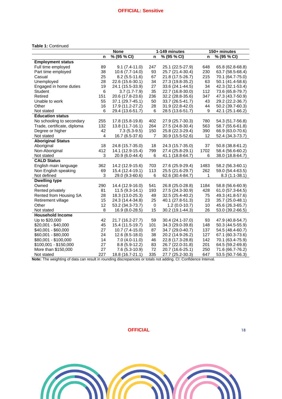#### **Table 1:** Continued

|                             |     | <b>None</b>      |     | 1-149 minutes    | 150+ minutes |                  |  |
|-----------------------------|-----|------------------|-----|------------------|--------------|------------------|--|
|                             | n   | % (95 % CI)      | n   | % (95 % CI)      | n            | % (95 % CI)      |  |
| <b>Employment status</b>    |     |                  |     |                  |              |                  |  |
| Full time employed          | 89  | $9.1(7.4-11.0)$  | 247 | 25.1 (22.5-27.9) | 648          | 65.8 (62.8-68.8) |  |
| Part time employed          | 38  | 10.6 (7.7-14.0)  | 93  | 25.7 (21.4-30.4) | 230          | 63.7 (58.5-68.4) |  |
| Casual                      | 25  | $8.2(5.5-11.6)$  | 67  | 21.8 (17.5-26.7) | 215          | 70.1 (64.7-75.0) |  |
| Unemployed                  | 28  | 22.6 (15.6-30.1) | 34  | 27.3 (19.8-35.2) | 63           | 50.1 (41.4-58.6) |  |
| Engaged in home duties      | 19  | 24.1 (15.5-33.9) | 27  | 33.6 (24.1-44.5) | 34           | 42.3 (32.1-53.4) |  |
| Student                     | 6   | $3.7(1.7-7.9)$   | 35  | 22.7 (16.8-30.0) | 112          | 73.6 (65.8-79.7) |  |
| Retired                     | 151 | 20.6 (17.8-23.6) | 236 | 32.2 (28.8-35.6) | 347          | 47.3 (43.7-50.9) |  |
| Unable to work              | 55  | 37.1 (29.7-45.1) | 50  | 33.7 (26.5-41.7) | 43           | 29.2 (22.2-36.7) |  |
| Other                       | 16  | 17.9 (11.2-27.2) | 28  | 31.9 (22.8-42.0) | 44           | 50.2 (39.7-60.3) |  |
| Not stated                  | 6   | 29.4 (13.6-51.7) | 6   | 28.5 (13.6-51.7) | 9            | 42.1 (25.1-66.2) |  |
| <b>Education status</b>     |     |                  |     |                  |              |                  |  |
| No schooling to secondary   | 255 | 17.8 (15.8-19.8) | 402 | 27.9 (25.7-30.3) | 780          | 54.3 (51.7-56.8) |  |
| Trade, certificate, diploma | 132 | 13.8 (11.7-16.1) | 264 | 27.5 (24.8-30.4) | 563          | 58.7 (55.6-61.8) |  |
| Degree or higher            | 42  | $7.3(5.3-9.5)$   | 150 | 25.8 (22.3-29.4) | 390          | 66.9 (63.0-70.6) |  |
| Not stated                  | 4   | 16.7 (6.5-37.6)  | 7   | 30.9 (15.5-52.6) | 12           | 52.4 (34.3-73.7) |  |
| <b>Aboriginal Status</b>    |     |                  |     |                  |              |                  |  |
| Aboriginal                  | 18  | 24.8 (15.7-35.0) | 18  | 24.3 (15.7-35.0) | 37           | 50.8 (38.8-61.2) |  |
| Non-Aboriginal              | 412 | 14.1 (12.9-15.4) | 799 | 27.4 (25.8-29.1) | 1702         | 58.4 (56.6-60.2) |  |
| Not stated                  | 3   | 20.9 (6.0-44.4)  | 6   | 41.1 (18.8-64.7) | 6            | 38.0 (18.8-64.7) |  |
| <b>CALD Status</b>          |     |                  |     |                  |              |                  |  |
| English main language       | 362 | 14.2 (12.9-15.6) | 703 | 27.6 (25.9-29.4) | 1483         | 58.2 (56.3-60.1) |  |
| Non English speaking        | 69  | 15.4 (12.4-19.1) | 113 | 25.5 (21.6-29.7) | 262          | 59.0 (54.4-63.5) |  |
| Not defined                 | 3   | 29.0 (9.3-60.6)  | 6   | 62.6 (30.4-84.7) | 1            | $8.3(1.1-38.1)$  |  |
| <b>Dwelling type</b>        |     |                  |     |                  |              |                  |  |
| Owned                       | 290 | 14.4 (12.9-16.0) | 541 | 26.8 (25.0-28.8) | 1184         | 58.8 (56.6-60.9) |  |
| Rented privately            | 81  | $11.5(9.3-14.1)$ | 193 | 27.5 (24.3-30.9) | 428          | 61.0 (57.3-64.5) |  |
| Rented from Housing SA      | 28  | 18.3 (13.0-25.3) | 49  | 32.5 (25.4-40.2) | 75           | 49.3 (41.8-57.6) |  |
| Retirement village          | 15  | 24.3 (14.4-34.8) | 25  | 40.1 (27.8-51.3) | 23           | 35.7 (25.0-48.1) |  |
| Other                       | 12  | 53.2 (34.3-73.7) | 0   | $1.2(0.0-10.7)$  | 10           | 45.6 (26.3-65.7) |  |
| Not stated                  | 8   | 16.9 (8.0-28.5)  | 15  | 30.2 (19.1-44.3) | 26           | 53.0 (39.2-66.5) |  |
| <b>Household Income</b>     |     |                  |     |                  |              |                  |  |
| Up to \$20,000              | 42  | 21.7 (16.2-27.7) | 59  | 30.4 (24.1-37.0) | 93           | 47.9 (40.8-54.7) |  |
| \$20,001 - \$40,000         | 45  | 15.4 (11.5-19.7) | 101 | 34.3 (29.0-39.8) | 148          | 50.3 (44.5-55.9) |  |
| \$40,001 - \$60,000         | 27  | 10.7 (7.4-15.0)  | 87  | 34.7 (29.0-40.7) | 137          | 54.5 (48.4-60.7) |  |
| \$60,001 - \$80,000         | 24  | $12.6(8.5-18.0)$ | 38  | 20.2 (14.9-26.2) | 127          | 67.1 (60.3-73.6) |  |
| \$80,001 - \$100,000        | 14  | $7.0(4.0-11.0)$  | 46  | 22.8 (17.3-28.8) | 142          | 70.1 (63.4-75.9) |  |
| \$100,001 - \$150,000       | 27  | 8.8 (5.9-12.2)   | 83  | 26.7 (22.0-31.8) | 201          | 64.5 (59.2-69.8) |  |
| More than \$150,000         | 27  | $7.6(5.3-10.9)$  | 72  | 20.7 (16.6-25.1) | 250          | 71.6 (66.7-76.2) |  |
| Not stated                  | 227 | 18.8 (16.7-21.1) | 335 | 27.7 (25.2-30.3) | 647          | 53.5 (50.7-56.3) |  |

**Note:** The weighting of data can result in rounding discrepancies or totals not adding. CI: Confidence Interval.

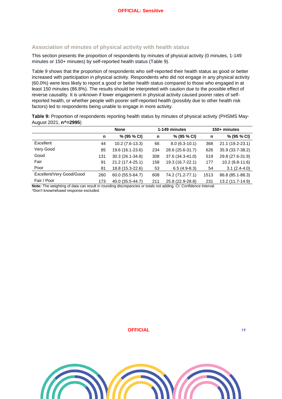#### <span id="page-18-0"></span>**Association of minutes of physical activity with health status**

This section presents the proportion of respondents by minutes of physical activity (0 minutes, 1-149 minutes or 150+ minutes) by self-reported health status [\(Table 9\)](#page-18-1).

[Table 9](#page-18-1) shows that the proportion of respondents who self-reported their health status as good or better increased with participation in physical activity. Respondents who did not engage in any physical activity (60.0%) were less likely to report a good or better health status compared to those who engaged in at least 150 minutes (86.8%). The results should be interpreted with caution due to the possible effect of reverse causality. It is unknown if lower engagement in physical activity caused poorer rates of selfreported health, or whether people with poorer self-reported health (possibly due to other health risk factors) led to respondents being unable to engage in more activity.

<span id="page-18-1"></span>**Table 9:** Proportion of respondents reporting health status by minutes of physical activity (PHSMS May-August 2021, **n^=2995**)

|                          | <b>None</b> |                  |     | 1-149 minutes    |      | 150+ minutes     |  |
|--------------------------|-------------|------------------|-----|------------------|------|------------------|--|
|                          | n           | % (95 % CI)      | n   | % (95 % CI)      | n    | % (95 % CI)      |  |
| Excellent                | 44          | $10.2(7.6-13.3)$ | 66  | $8.0(6.3-10.1)$  | 368  | 21.1 (19.2-23.1) |  |
| Very Good                | 85          | 19.6 (16.1-23.6) | 234 | 28.6 (25.6-31.7) | 626  | 35.9 (33.7-38.2) |  |
| Good                     | 131         | 30.3 (26.1-34.8) | 308 | 37.6 (34.3-41.0) | 519  | 29.8 (27.6-31.9) |  |
| Fair                     | 91          | 21.2 (17.4-25.1) | 158 | 19.3 (16.7-22.1) | 177  | 10.2 (8.8-11.6)  |  |
| Poor                     | 81          | 18.8 (15.3-22.6) | 53  | $6.5(4.9-8.3)$   | 54   | $3.1(2.4-4.0)$   |  |
| Excellent/Very Good/Good | 260         | 60.0 (55.5-64.7) | 608 | 74.2 (71.2-77.1) | 1513 | 86.8 (85.1-88.3) |  |
| Fair / Poor              | 173         | 40.0 (35.5-44.7) | 211 | 25.8 (22.9-28.8) | 231  | 13.2 (11.7-14.9) |  |

**Note:** The weighting of data can result in rounding discrepancies or totals not adding. CI: Confidence Interval.

^Don't know/refused response excluded.

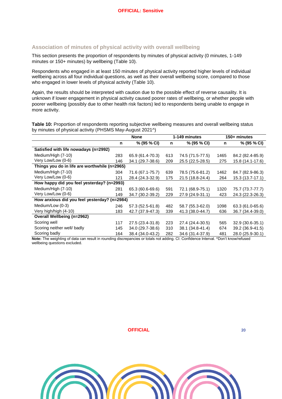#### <span id="page-19-0"></span>**Association of minutes of physical activity with overall wellbeing**

This section presents the proportion of respondents by minutes of physical activity (0 minutes, 1-149 minutes or 150+ minutes) by wellbeing [\(Table 10\)](#page-19-1).

Respondents who engaged in at least 150 minutes of physical activity reported higher levels of individual wellbeing across all four individual questions, as well as their overall wellbeing score, compared to those who engaged in lower levels of physical activity [\(Table 10\)](#page-19-1).

Again, the results should be interpreted with caution due to the possible effect of reverse causality. It is unknown if lower engagement in physical activity caused poorer rates of wellbeing, or whether people with poorer wellbeing (possibly due to other health risk factors) led to respondents being unable to engage in more activity.

<span id="page-19-1"></span>**Table 10:** Proportion of respondents reporting subjective wellbeing measures and overall wellbeing status by minutes of physical activity (PHSMS May-August 2021^)

|                                               | <b>None</b> |                  | 1-149 minutes |                  | 150+ minutes |                  |
|-----------------------------------------------|-------------|------------------|---------------|------------------|--------------|------------------|
|                                               | n           | % (95 % CI)      | n             | % (95 % CI)      | n            | % (95 % CI)      |
| Satisfied with life nowadays (n=2992)         |             |                  |               |                  |              |                  |
| Medium/High (7-10)                            | 283         | 65.9 (61.4-70.3) | 613           | 74.5 (71.5-77.5) | 1465         | 84.2 (82.4-85.9) |
| Very Low/Low (0-6)                            | 146         | 34.1 (29.7-38.6) | 209           | 25.5 (22.5-28.5) | 275          | 15.8 (14.1-17.6) |
| Things you do in life are worthwhile (n=2965) |             |                  |               |                  |              |                  |
| Medium/High (7-10)                            | 304         | 71.6 (67.1-75.7) | 639           | 78.5 (75.6-81.2) | 1462         | 84.7 (82.9-86.3) |
| Very Low/Low (0-6)                            | 121         | 28.4 (24.3-32.9) | 175           | 21.5 (18.8-24.4) | 264          | 15.3 (13.7-17.1) |
| How happy did you feel yesterday? (n=2993)    |             |                  |               |                  |              |                  |
| Medium/High (7-10)                            | 281         | 65.3 (60.6-69.6) | 591           | 72.1 (68.9-75.1) | 1320         | 75.7 (73.7-77.7) |
| Very Low/Low (0-6)                            | 149         | 34.7 (30.2-39.2) | 229           | 27.9 (24.9-31.1) | 423          | 24.3 (22.3-26.3) |
| How anxious did you feel yesterday? (n=2984)  |             |                  |               |                  |              |                  |
| Medium/Low (0-3)                              | 246         | 57.3 (52.5-61.8) | 482           | 58.7 (55.3-62.0) | 1098         | 63.3 (61.0-65.6) |
| Very high/high (4-10)                         | 183         | 42.7 (37.9-47.3) | 339           | 41.3 (38.0-44.7) | 636          | 36.7 (34.4-39.0) |
| <b>Overall Wellbeing (n=2962)</b>             |             |                  |               |                  |              |                  |
| Scoring well                                  | 117         | 27.5 (23.4-31.8) | 223           | 27.4 (24.4-30.5) | 565          | 32.9 (30.6-35.1) |
| Scoring neither well/ badly                   | 145         | 34.0 (29.7-38.6) | 310           | 38.1 (34.8-41.4) | 674          | 39.2 (36.9-41.5) |
| Scoring badly                                 | 164         | 38.4 (34.0-43.2) | 282           | 34.6 (31.4-37.9) | 481          | 28.0 (25.9-30.1) |

**Note:** The weighting of data can result in rounding discrepancies or totals not adding. CI: Confidence Interval. ^Don't know/refused wellbeing questions excluded.

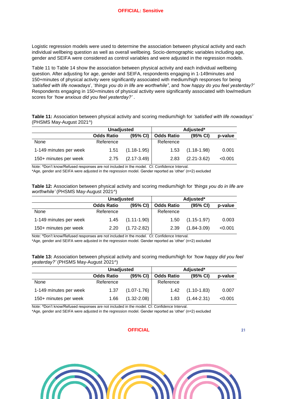Logistic regression models were used to determine the association between physical activity and each individual wellbeing question as well as overall wellbeing. Socio-demographic variables including age, gender and SEIFA were considered as control variables and were adjusted in the regression models.

[Table 11](#page-20-0) to [Table 14](#page-21-0) show the association between physical activity and each individual wellbeing question. After adjusting for age, gender and SEIFA, respondents engaging in 1-149minutes and 150+minutes of physical activity were significantly associated with medium/high responses for being *'satisfied with life nowadays*', '*things you do in life are worthwhile"*, and *'how happy do you feel yesterday?'* Respondents engaging in 150+minutes of physical activity were significantly associated with low/medium scores for *'how anxious did you feel yesterday?'* .

<span id="page-20-0"></span>**Table 11:** Association between physical activity and scoring medium/high for *'satisfied with life nowadays'* (PHSMS May-August 2021^)

|                        | <b>Unadjusted</b> |                 |                   |                 |         |
|------------------------|-------------------|-----------------|-------------------|-----------------|---------|
|                        | <b>Odds Ratio</b> | (95% CI)        | <b>Odds Ratio</b> | (95% CI)        | p-value |
| None                   | Reference         |                 | Reference         |                 |         |
| 1-149 minutes per week | 1.51              | $(1.18 - 1.95)$ | 1.53              | $(1.18 - 1.98)$ | 0.001   |
| 150+ minutes per week  | 2.75              | $(2.17 - 3.49)$ | 2.83              | $(2.21 - 3.62)$ | < 0.001 |

Note: ^Don't know/Refused responses are not included in the model. CI: Confidence Interval.

\*Age, gender and SEIFA were adjusted in the regression model. Gender reported as 'other' (n=2) excluded

**Table 12:** Association between physical activity and scoring medium/high for *'things you do in life are worthwhile'* (PHSMS May-August 2021^)

|                        | <b>Unadjusted</b> |                 | Adjusted*         |                 |         |
|------------------------|-------------------|-----------------|-------------------|-----------------|---------|
|                        | <b>Odds Ratio</b> | (95% CI)        | <b>Odds Ratio</b> | (95% CI)        | p-value |
| None                   | Reference         |                 | Reference         |                 |         |
| 1-149 minutes per week | 1.45              | $(1.11 - 1.90)$ | 1.50              | $(1.15 - 1.97)$ | 0.003   |
| 150+ minutes per week  | 2.20              | $(1.72 - 2.82)$ | 2.39              | $(1.84 - 3.09)$ | < 0.001 |

Note: ^Don't know/Refused responses are not included in the model. CI: Confidence Interval.

\*Age, gender and SEIFA were adjusted in the regression model. Gender reported as 'other' (n=2) excluded

**Table 13:** Association between physical activity and scoring medium/high for *'how happy did you feel yesterday?'* (PHSMS May-August 2021^)

|                        | <b>Unadjusted</b> |                 | Adjusted*         |                 |         |  |
|------------------------|-------------------|-----------------|-------------------|-----------------|---------|--|
|                        | <b>Odds Ratio</b> | (95% CI)        | <b>Odds Ratio</b> | (95% CI)        | p-value |  |
| None                   | Reference         |                 | Reference         |                 |         |  |
| 1-149 minutes per week | 1.37              | $(1.07 - 1.76)$ | 1.42              | $(1.10 - 1.83)$ | 0.007   |  |
| 150+ minutes per week  | 1.66              | $(1.32 - 2.08)$ | 1.83              | $(1.44 - 2.31)$ | < 0.001 |  |

Note: ^Don't know/Refused responses are not included in the model. CI: Confidence Interval.

\*Age, gender and SEIFA were adjusted in the regression model. Gender reported as 'other' (n=2) excluded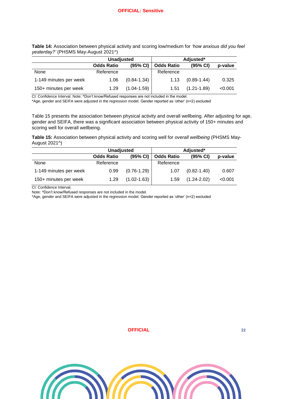<span id="page-21-0"></span>

| Table 14: Association between physical activity and scoring low/medium for 'how anxious did you feel |  |  |  |
|------------------------------------------------------------------------------------------------------|--|--|--|
| yesterday?' (PHSMS May-August 2021^)                                                                 |  |  |  |

|                        | <b>Unadjusted</b> |                 | Adjusted*         |                 |         |  |
|------------------------|-------------------|-----------------|-------------------|-----------------|---------|--|
|                        | <b>Odds Ratio</b> | (95% CI)        | <b>Odds Ratio</b> | (95% CI)        | p-value |  |
| None                   | Reference         |                 | Reference         |                 |         |  |
| 1-149 minutes per week | 1.06              | $(0.84 - 1.34)$ | 1.13              | $(0.89 - 1.44)$ | 0.325   |  |
| 150+ minutes per week  | 1.29              | $(1.04 - 1.59)$ | 1.51              | $(1.21 - 1.89)$ | < 0.001 |  |

CI: Confidence Interval. Note: ^Don't know/Refused responses are not included in the model.

\*Age, gender and SEIFA were adjusted in the regression model. Gender reported as 'other' (n=2) excluded

[Table 15](#page-21-1) presents the association between physical activity and overall wellbeing. After adjusting for age, gender and SEIFA, there was a significant association between physical activity of 150+ minutes and scoring well for overall wellbeing.

<span id="page-21-1"></span>**Table 15:** Association between physical activity and scoring well for *overall wellbeing* (PHSMS May-August 2021^)

|                        | <b>Unadjusted</b> |                 | Adjusted*         |                 |         |  |
|------------------------|-------------------|-----------------|-------------------|-----------------|---------|--|
|                        | <b>Odds Ratio</b> | (95% CI)        | <b>Odds Ratio</b> | (95% CI)        | p-value |  |
| None                   | Reference         |                 | Reference         |                 |         |  |
| 1-149 minutes per week | 0.99              | $(0.76 - 1.29)$ | 1.07              | $(0.82 - 1.40)$ | 0.607   |  |
| 150+ minutes per week  | 1.29              | $(1.02 - 1.63)$ | 1.59              | $(1.24 - 2.02)$ | < 0.001 |  |

CI: Confidence Interval.

Note: ^Don't know/Refused responses are not included in the model.

\*Age, gender and SEIFA were adjusted in the regression model. Gender reported as 'other' (n=2) excluded

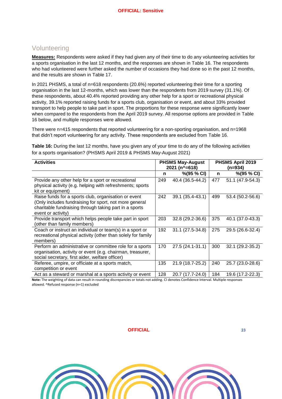## <span id="page-22-0"></span>Volunteering

**Measures:** Respondents were asked if they had given any of their time to do any volunteering activities for a sports organisation in the last 12 months, and the responses are shown in [Table 16.](#page-22-1) The respondents who had volunteered were further asked the number of occasions they had done so in the past 12 months, and the results are shown in [Table 17.](#page-23-1)

In 2021 PHSMS, a total of n=618 respondents (20.6%) reported volunteering their time for a sporting organisation in the last 12-months, which was lower than the respondents from 2019 survey (31.1%). Of these respondents, about 40.4% reported providing any other help for a sport or recreational physical activity, 39.1% reported raising funds for a sports club, organisation or event, and about 33% provided transport to help people to take part in sport. The proportions for these response were significantly lower when compared to the respondents from the April 2019 survey. All response options are provided in [Table](#page-22-1)  [16](#page-22-1) below, and multiple responses were allowed.

There were n=415 respondents that reported volunteering for a non-sporting organisation, and n=1968 that didn't report volunteering for any activity. These respondents are excluded from [Table 16.](#page-22-1)

<span id="page-22-1"></span>**Table 16:** During the last 12 months, have you given any of your time to do any of the following activities for a sports organisation? (PHSMS April 2019 & PHSMS May-August 2021)

| <b>Activities</b>                                                                                                                                                                              |     | <b>PHSMS May-August</b><br>2021 (n^=618) |     | PHSMS April 2019<br>(n=934) |
|------------------------------------------------------------------------------------------------------------------------------------------------------------------------------------------------|-----|------------------------------------------|-----|-----------------------------|
|                                                                                                                                                                                                | n   | $\%$ (95 % CI)                           | n   | $\%$ (95 % CI)              |
| Provide any other help for a sport or recreational<br>physical activity (e.g. helping with refreshments; sports<br>kit or equipment)                                                           | 249 | 40.4 (36.5-44.2)                         | 477 | 51.1 (47.9-54.3)            |
| Raise funds for a sports club, organisation or event<br>(Only includes fundraising for sport, not more general<br>charitable fundraising through taking part in a sports<br>event or activity) | 242 | 39.1 (35.4-43.1)                         | 499 | 53.4 (50.2-56.6)            |
| Provide transport which helps people take part in sport<br>(other than family members)                                                                                                         | 203 | 32.8 (29.2-36.6)                         | 375 | 40.1 (37.0-43.3)            |
| Coach or instruct an individual or team(s) in a sport or<br>recreational physical activity (other than solely for family<br>members)                                                           | 192 | 31.1 (27.5-34.8)                         | 275 | 29.5 (26.6-32.4)            |
| Perform an administrative or committee role for a sports<br>organisation, activity or event (e.g. chairman, treasurer,<br>social secretary, first aider, welfare officer)                      | 170 | 27.5 (24.1-31.1)                         | 300 | 32.1 (29.2-35.2)            |
| Referee, umpire, or officiate at a sports match,<br>competition or event                                                                                                                       | 135 | 21.9 (18.7-25.2)                         | 240 | 25.7 (23.0-28.6)            |
| Act as a steward or marshal at a sports activity or event                                                                                                                                      | 128 | 20.7 (17.7-24.0)                         | 184 | 19.6 (17.2-22.3)            |

**Note:** The weighting of data can result in rounding discrepancies or totals not adding. CI denotes Confidence Interval. Multiple responses allowed. ^Refused response (n=1) excluded

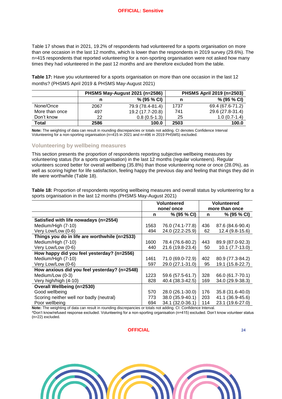[Table 17](#page-23-1) shows that in 2021, 19.2% of respondents had volunteered for a sports organisation on more than one occasion in the last 12 months, which is lower than the respondents in 2019 survey (29.6%). The n=415 respondents that reported volunteering for a non-sporting organisation were not asked how many times they had volunteered in the past 12 months and are therefore excluded from the table.

<span id="page-23-1"></span>**Table 17:** Have you volunteered for a sports organisation on more than one occasion in the last 12 months? (PHSMS April 2019 & PHSMS May-August 2021)

|                |      | PHSMS May-August 2021 (n=2586) | PHSMS April 2019 (n=2503) |                  |  |
|----------------|------|--------------------------------|---------------------------|------------------|--|
|                | n    | % (95 % CI)                    | n                         | % (95 % CI)      |  |
| None/Once      | 2067 | 79.9 (78.4-81.4)               | 1737                      | 69.4 (67.6-71.2) |  |
| More than once | 497  | 19.2 (17.7-20.8)               | 741                       | 29.6 (27.8-31.4) |  |
| Don't know     | 22   | $0.8(0.5-1.3)$                 | 25                        | $1.0(0.7-1.4)$   |  |
| Total          | 2586 | 100.0                          | 2503                      | 100.0            |  |

**Note:** The weighting of data can result in rounding discrepancies or totals not adding. CI denotes Confidence Interval Volunteering for a non-sporting organisation (n=415 in 2021 and n=496 in 2019 PHSMS) excluded.

#### <span id="page-23-0"></span>**Volunteering by wellbeing measures**

This section presents the proportion of respondents reporting subjective wellbeing measures by volunteering status (for a sports organisation) in the last 12 months (regular volunteers). Regular volunteers scored better for overall wellbeing (35.8%) than those volunteering none or once (28.0%), as well as scoring higher for life satisfaction, feeling happy the previous day and feeling that things they did in life were worthwhile [\(Table 18\)](#page-23-2).

<span id="page-23-2"></span>**Table 18:** Proportion of respondents reporting wellbeing measures and overall status by volunteering for a sports organisation in the last 12 months (PHSMS May-August 2021)

|                                               | <b>Volunteered</b> |                  | <b>Volunteered</b> |                     |
|-----------------------------------------------|--------------------|------------------|--------------------|---------------------|
|                                               |                    | none/once        |                    | more than once      |
|                                               | n                  | % (95 % CI)      | n                  | % (95 % CI)         |
| Satisfied with life nowadays (n=2554)         |                    |                  |                    |                     |
| Medium/High (7-10)                            | 1563               | 76.0 (74.1-77.8) | 436                | 87.6 (84.6-90.4)    |
| Very Low/Low (0-6)                            | 494                | 24.0 (22.2-25.9) | 62                 | $12.4(9.8-15.6)$    |
| Things you do in life are worthwhile (n=2533) |                    |                  |                    |                     |
| Medium/High (7-10)                            | 1600               | 78.4 (76.6-80.2) | 443                | 89.9 (87.0-92.3)    |
| Very Low/Low (0-6)                            | 440                | 21.6 (19.8-23.4) | 50                 | $10.1 (7.7 - 13.0)$ |
| How happy did you feel yesterday? (n=2556)    |                    |                  |                    |                     |
| Medium/High (7-10)                            | 1461               | 71.0 (69.0-72.9) | 402                | 80.9 (77.3-84.2)    |
| Very Low/Low (0-6)                            | 597                | 29.0 (27.1-31.0) | 95                 | 19.1 (15.8-22.7)    |
| How anxious did you feel yesterday? (n=2548)  |                    |                  |                    |                     |
| Medium/Low (0-3)                              | 1223               | 59.6 (57.5-61.7) | 328                | 66.0 (61.7-70.1)    |
| Very high/high (4-10)                         | 828                | 40.4 (38.3-42.5) | 169                | 34.0 (29.9-38.3)    |
| <b>Overall Wellbeing (n=2530)</b>             |                    |                  |                    |                     |
| Good wellbeing                                | 570                | 28.0 (26.1-30.0) | 176                | 35.8 (31.6-40.0)    |
| Scoring neither well nor badly (neutral)      | 773                | 38.0 (35.9-40.1) | 203                | 41.1 (36.9-45.6)    |
| Poor wellbeing                                | 694                | 34.1 (32.0-36.1) | 114                | 23.1 (19.6-27.0)    |

**Note:** The weighting of data can result in rounding discrepancies or totals not adding. CI: Confidence Interval.

^Don't know/refused response excluded. Volunteering for a non-sporting organisation (n=415) excluded. Don't know volunteer status (n=22) excluded.

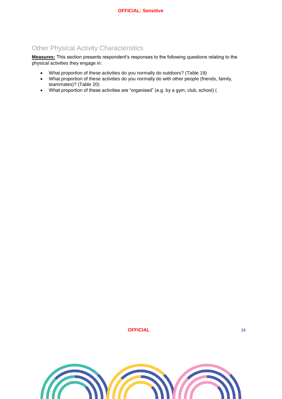## <span id="page-24-0"></span>Other Physical Activity Characteristics

**Measures:** This section presents respondent's responses to the following questions relating to the physical activities they engage in:

- What proportion of these activities do you normally do outdoors? [\(Table 19\)](#page-25-0)
- What proportion of these activities do you normally do with other people (friends, family, teammates)? [\(Table 20\)](#page-25-1)
- What proportion of these activities are "organised" (e.g. by a gym, club, school) [\(](#page-25-2)

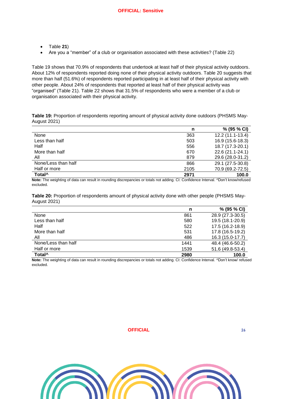- [Table](#page-25-2) **21**)
- Are you a "member" of a club or organisation associated with these activities? [\(Table 22\)](#page-26-0)

[Table 19](#page-25-0) shows that 70.9% of respondents that undertook at least half of their physical activity outdoors. About 12% of respondents reported doing none of their physical activity outdoors. [Table 20](#page-25-1) suggests that more than half (51.6%) of respondents reported participating in at least half of their physical activity with other people. About 24% of respondents that reported at least half of their physical activity was "organised" [\(Table 21\)](#page-26-1). [Table 22](#page-26-0) shows that 31.5% of respondents who were a member of a club or organisation associated with their physical activity.

<span id="page-25-0"></span>**Table 19:** Proportion of respondents reporting amount of physical activity done outdoors (PHSMS May-August 2021)

|                     | n    | $% (95\% CI)$    |
|---------------------|------|------------------|
| None                | 363  | 12.2 (11.1-13.4) |
| Less than half      | 503  | 16.9 (15.6-18.3) |
| Half                | 556  | 18.7 (17.3-20.1) |
| More than half      | 670  | 22.6 (21.1-24.1) |
| All                 | 879  | 29.6 (28.0-31.2) |
| None/Less than half | 866  | 29.1 (27.5-30.8) |
| Half or more        | 2105 | 70.9 (69.2-72.5) |
| Total <sup>^</sup>  | 2971 | 100.0            |

**Note:** The weighting of data can result in rounding discrepancies or totals not adding. CI: Confidence Interval. ^Don't know/refused excluded.

<span id="page-25-1"></span>**Table 20:** Proportion of respondents amount of physical activity done with other people (PHSMS May-August 2021)

|                     | n    | % (95 % CI)      |
|---------------------|------|------------------|
| None                | 861  | 28.9 (27.3-30.5) |
| Less than half      | 580  | 19.5 (18.1-20.9) |
| Half                | 522  | 17.5 (16.2-18.9) |
| More than half      | 531  | 17.8 (16.5-19.2) |
| All                 | 486  | 16.3 (15.0-17.7) |
| None/Less than half | 1441 | 48.4 (46.6-50.2) |
| Half or more        | 1539 | 51.6 (49.8-53.4) |
| Total <sup>^</sup>  | 2980 | 100.0            |

<span id="page-25-2"></span>**Note:** The weighting of data can result in rounding discrepancies or totals not adding. CI: Confidence Interval. ^Don't know/ refused excluded.

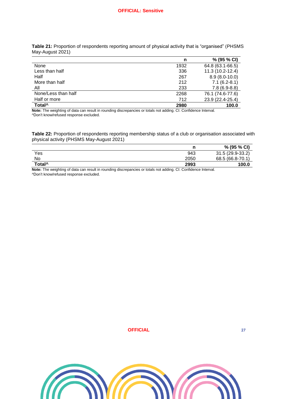<span id="page-26-1"></span>**Table 21:** Proportion of respondents reporting amount of physical activity that is "organised" (PHSMS May-August 2021)

|                     | n    | % (95 % CI)      |
|---------------------|------|------------------|
| None                | 1932 | 64.8 (63.1-66.5) |
| Less than half      | 336  | 11.3 (10.2-12.4) |
| Half                | 267  | $8.9(8.0-10.0)$  |
| More than half      | 212  | $7.1(6.2-8.1)$   |
| All                 | 233  | $7.8(6.9-8.8)$   |
| None/Less than half | 2268 | 76.1 (74.6-77.6) |
| Half or more        | 712  | 23.9 (22.4-25.4) |
| Total <sup>^</sup>  | 2980 | 100.0            |

**Note:** The weighting of data can result in rounding discrepancies or totals not adding. CI: Confidence Interval. ^Don't know/refused response excluded.

<span id="page-26-0"></span>**Table 22:** Proportion of respondents reporting membership status of a club or organisation associated with physical activity (PHSMS May-August 2021)

|                    |      | % (95 % CI)      |
|--------------------|------|------------------|
| Yes                | 943  | 31.5 (29.9-33.2) |
| No                 | 2050 | 68.5 (66.8-70.1) |
| Total <sup>^</sup> | 2993 | 100.0            |

**Note:** The weighting of data can result in rounding discrepancies or totals not adding. CI: Confidence Interval. ^Don't know/refused response excluded.

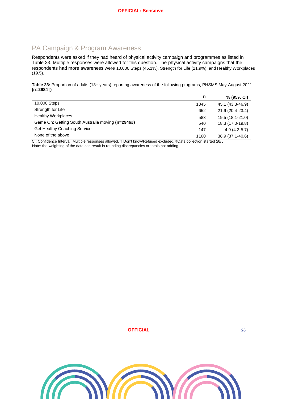## <span id="page-27-0"></span>PA Campaign & Program Awareness

Respondents were asked if they had heard of physical activity campaign and programmes as listed in [Table 23.](#page-27-1) Multiple responses were allowed for this question. The physical activity campaigns that the respondents had more awareness were 10,000 Steps (45.1%), Strength for Life (21.9%), and Healthy Workplaces (19.5).

<span id="page-27-1"></span>**Table 23:** Proportion of adults (18+ years) reporting awareness of the following programs, PHSMS May-August 2021 **(n=2984†)**

|                                                   | n    | $% (95\% CI)$    |
|---------------------------------------------------|------|------------------|
| 10,000 Steps                                      | 1345 | 45.1 (43.3-46.9) |
| Strength for Life                                 | 652  | 21.9 (20.4-23.4) |
| <b>Healthy Workplaces</b>                         | 583  | 19.5 (18.1-21.0) |
| Game On: Getting South Australia moving (n=2946#) | 540  | 18.3 (17.0-19.8) |
| Get Healthy Coaching Service                      | 147  | $4.9(4.2-5.7)$   |
| None of the above                                 | 1160 | 38.9 (37.1-40.6) |

CI: Confidence Interval. Multiple responses allowed. † Don't know/Refused excluded. #Data collection started 28/5 Note: the weighting of the data can result in rounding discrepancies or totals not adding.

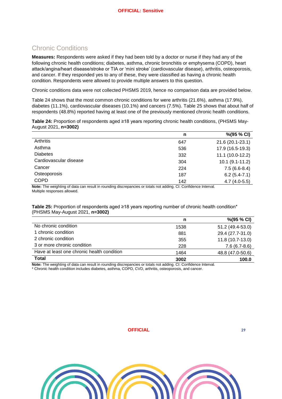## <span id="page-28-0"></span>Chronic Conditions

**Measures:** Respondents were asked if they had been told by a doctor or nurse if they had any of the following chronic health conditions; diabetes, asthma, chronic bronchitis or emphysema (COPD), heart attack/angina/heart disease/stroke or TIA or 'mini stroke' (cardiovascular disease), arthritis, osteoporosis, and cancer. If they responded yes to any of these, they were classified as having a chronic health condition. Respondents were allowed to provide multiple answers to this question.

Chronic conditions data were not collected PHSMS 2019, hence no comparison data are provided below.

[Table 24](#page-28-1) shows that the most common chronic conditions for were arthritis (21.6%), asthma (17.9%), diabetes (11.1%), cardiovascular diseases (10.1%) and cancers (7.5%). [Table 25](#page-28-2) shows that about half of respondents (48.8%) reported having at least one of the previously mentioned chronic health conditions.

<span id="page-28-1"></span>**Table 24:** Proportion of respondents aged ≥18 years reporting chronic health conditions, (PHSMS May-August 2021, **n=3002)**

|                        | n   | %(95 % CI)          |
|------------------------|-----|---------------------|
| Arthritis              | 647 | 21.6 (20.1-23.1)    |
| Asthma                 | 536 | 17.9 (16.5-19.3)    |
| <b>Diabetes</b>        | 332 | $11.1(10.0-12.2)$   |
| Cardiovascular disease | 304 | $10.1 (9.1 - 11.2)$ |
| Cancer                 | 224 | $7.5(6.6-8.4)$      |
| Osteoporosis           | 187 | $6.2(5.4-7.1)$      |
| <b>COPD</b>            | 142 | $4.7(4.0-5.5)$      |

**Note:** The weighting of data can result in rounding discrepancies or totals not adding. CI: Confidence Interval. Multiple responses allowed.

<span id="page-28-2"></span>**Table 25:** Proportion of respondents aged ≥18 years reporting number of chronic health condition\* (PHSMS May-August 2021, **n=3002)**

|                                            | n    | $\%$ (95 % CI)    |
|--------------------------------------------|------|-------------------|
| No chronic condition                       | 1538 | 51.2 (49.4-53.0)  |
| 1 chronic condition                        | 881  | 29.4 (27.7-31.0)  |
| 2 chronic condition                        | 355  | $11.8(10.7-13.0)$ |
| 3 or more chronic condition                | 228  | $7.6(6.7-8.6)$    |
| Have at least one chronic health condition | 1464 | 48.8 (47.0-50.6)  |
| <b>Total</b>                               | 3002 | 100.0             |

**Note:** The weighting of data can result in rounding discrepancies or totals not adding. CI: Confidence Interval.

\* Chronic health condition includes diabetes, asthma, COPD, CVD, arthritis, osteoporosis, and cancer.

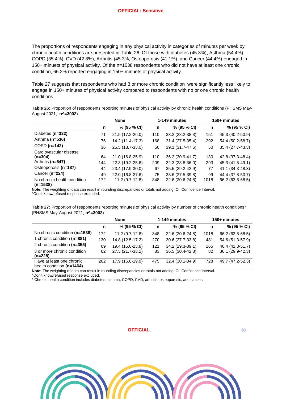The proportions of respondents engaging in any physical activity in categories of minutes per week by chronic health conditions are presented in [Table 26.](#page-29-0) Of those with diabetes (45.3%), Asthma (54.4%), COPD (35.4%), CVD (42.8%), Arthritis (45.3%, Osteoporosis (41.1%), and Cancer (44.4%) engaged in 150+ minuets of physical activity. Of the n=1538 respondents who did not have at least one chronic condition, 66.2% reported engaging in 150+ minuets of physical activity.

[Table 27](#page-29-1) suggests that respondents who had 3 or more chronic condition were significantly less likely to engage in 150+ minutes of physical activity compared to respondents with no or one chronic health conditions

<span id="page-29-0"></span>**Table 26:** Proportion of respondents reporting minutes of physical activity by chronic health conditions (PHSMS May-August 2021, **n^=3002**)

|                                         |     | <b>None</b>      |     | 1-149 minutes    | 150+ minutes |                  |  |  |
|-----------------------------------------|-----|------------------|-----|------------------|--------------|------------------|--|--|
|                                         | n   | % (95 % CI)      | n   | % (95 % CI)      | n            | % (95 % CI)      |  |  |
| Diabetes (n=332)                        | 71  | 21.5 (17.2-26.0) | 110 | 33.2 (28.2-38.3) | 151          | 45.3 (40.2-50.9) |  |  |
| Asthma (n=536)                          | 76  | 14.2 (11.4-17.3) | 168 | 31.4 (27.5-35.4) | 292          | 54.4 (50.2-58.7) |  |  |
| $COPD$ (n=142)                          | 36  | 25.5 (18.7-33.0) | 56  | 39.1 (31.7-47.6) | 50           | 35.4 (27.7-43.3) |  |  |
| Cardiovascular disease                  |     |                  |     |                  |              |                  |  |  |
| $(n=304)$                               | 64  | 21.0 (16.8-25.9) | 110 | 36.2 (30.9-41.7) | 130          | 42.8 (37.3-48.4) |  |  |
| Arthritis (n=647)                       | 144 | 22.3 (19.2-25.6) | 209 | 32.3 (28.8-36.0) | 293          | 45.3 (41.5-49.1) |  |  |
| Osteoporosis (n=187)                    | 44  | 23.4 (17.9-30.0) | 67  | 35.5 (29.2-42.9) | 77           | 41.1 (34.3-48.3) |  |  |
| Cancer (n=224)                          | 49  | 22.0 (16.8-27.6) | 75  | 33.6 (27.5-39.8) | 99           | 44.4 (37.8-50.7) |  |  |
| No chronic health condition<br>(n=1538) | 172 | 11.2 (9.7-12.8)  | 348 | 22.6 (20.6-24.8) | 1018         | 66.2 (63.8-68.5) |  |  |

**Note:** The weighting of data can result in rounding discrepancies or totals not adding. CI: Confidence Interval.

^Don't know/refused response excluded.

<span id="page-29-1"></span>**Table 27:** Proportion of respondents reporting minutes of physical activity by number of chronic health conditions\* (PHSMS May-August 2021, **n^=3002**)

|                               |     | <b>None</b>      |     | 1-149 minutes    | 150+ minutes |                  |  |
|-------------------------------|-----|------------------|-----|------------------|--------------|------------------|--|
|                               | n   | % (95 % CI)      |     | % (95 % CI)      | n            | % (95 % CI)      |  |
| No chronic condition (n=1538) | 172 | $11.2(9.7-12.8)$ | 348 | 22.6 (20.6-24.8) | 1018         | 66.2 (63.8-68.5) |  |
| 1 chronic condition (n=881)   | 130 | 14.8 (12.5-17.2) | 270 | 30.6 (27.7-33.8) | 481          | 54.6 (51.3-57.9) |  |
| 2 chronic condition (n=355)   | 69  | 19.4 (15.6-23.8) | 121 | 34.2 (29.3-39.1) | 165          | 46.4 (41.3-51.7) |  |
| 3 or more chronic condition   | 62  | 27.3 (21.7-33.2) | 83  | 36.5 (30.4-42.8) | -82          | 36.1 (29.9-42.3) |  |
| $(n=228)$                     |     |                  |     |                  |              |                  |  |
| Have at least one chronic     | 262 | 17.9 (16.0-19.9) | 475 | 32.4 (30.1-34.9) | 728          | 49.7 (47.2-52.3) |  |
| health condition (n=1464)     |     |                  |     |                  |              |                  |  |

**Note:** The weighting of data can result in rounding discrepancies or totals not adding. CI: Confidence Interval.

^Don't know/refused response excluded.

\* Chronic health condition includes diabetes, asthma, COPD, CVD, arthritis, osteoporosis, and cancer.

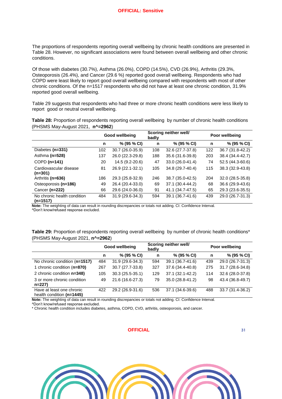The proportions of respondents reporting overall wellbeing by chronic health conditions are presented in [Table 28.](#page-30-0) However, no significant associations were found between overall wellbeing and other chronic conditions.

Of those with diabetes (30.7%), Asthma (26.0%), COPD (14.5%), CVD (26.9%), Arthritis (29.3%, Osteoporosis (26.4%), and Cancer (29.6 %) reported good overall wellbeing. Respondents who had COPD were least likely to report good overall wellbeing compared with respondents with most of other chronic conditions. Of the n=1517 respondents who did not have at least one chronic condition, 31.9% reported good overall wellbeing.

[Table 29](#page-30-1) suggests that respondents who had three or more chronic health conditions were less likely to report good or neutral overall wellbeing.

<span id="page-30-0"></span>**Table 28:** Proportion of respondents reporting overall wellbeing by number of chronic health conditions (PHSMS May-August 2021, **n^=2962**)

|                                           |     | Good wellbeing    | badly | Scoring neither well/ | Poor wellbeing |                  |  |
|-------------------------------------------|-----|-------------------|-------|-----------------------|----------------|------------------|--|
|                                           | n   | % (95 % CI)       | n     | % (95 % CI)           | n              | % (95 % CI)      |  |
| Diabetes (n=331)                          | 102 | 30.7 (26.0-35.9)  | 108   | 32.6 (27.7-37.8)      | 122            | 36.7 (31.8-42.2) |  |
| Asthma (n=528)                            | 137 | 26.0 (22.3-29.8)  | 188   | 35.6 (31.6-39.8)      | 203            | 38.4 (34.4-42.7) |  |
| COPD (n=141)                              | 20  | 14.5 (9.2-20.6)   | 47    | 33.0 (26.0-41.4)      | 74             | 52.5 (44.3-60.6) |  |
| Cardiovascular disease<br>(n=301)         | 81  | 26.9 (22.1-32.1)  | 105   | 34.8 (29.7-40.4)      | 115            | 38.3 (32.9-43.8) |  |
| Arthritis (n=636)                         | 186 | 29.3 (25.8-32.9)  | 246   | 38.7 (35.0-42.5)      | 204            | 32.0 (28.5-35.8) |  |
| Osteoporosis (n=186)                      | 49  | 26.4 (20.4-33.0)  | 69    | 37.1 (30.4-44.2)      | 68             | 36.6 (29.9-43.6) |  |
| Cancer (n=222)                            | 66  | 29.6 (24.0-36.0)  | 91    | 41.1 (34.7-47.5)      | 65             | 29.3 (23.6-35.5) |  |
| No chronic health condition<br>$(n=1517)$ | 484 | $31.9(29.6-34.3)$ | 594   | 39.1 (36.7-41.6)      | 439            | 29.0 (26.7-31.3) |  |

**Note:** The weighting of data can result in rounding discrepancies or totals not adding. CI: Confidence Interval.

^Don't know/refused response excluded.

<span id="page-30-1"></span>**Table 29:** Proportion of respondents reporting overall wellbeing by number of chronic health conditions\* (PHSMS May-August 2021, **n^=2962**)

|                                                        |                       | Good wellbeing   | badly       | Scoring neither well/ | Poor wellbeing |                  |  |
|--------------------------------------------------------|-----------------------|------------------|-------------|-----------------------|----------------|------------------|--|
|                                                        | % (95 % CI)<br>n<br>n |                  | % (95 % CI) | n                     | % (95 % CI)    |                  |  |
| No chronic condition (n=1517)                          | 484                   | 31.9 (29.6-34.3) | 594         | 39.1 (36.7-41.6)      | 439            | 29.0 (26.7-31.3) |  |
| 1 chronic condition (n=870)                            | 267                   | 30.7 (27.7-33.8) | 327         | 37.6 (34.4-40.8)      | 275            | 31.7 (28.6-34.8) |  |
| 2 chronic condition n=348)                             | 105                   | 30.3 (25.5-35.1) | 129         | 37.1 (32.1-42.2)      | 114            | 32.6 (28.0-37.8) |  |
| 3 or more chronic condition<br>$n=227$                 | 49                    | 21.6 (16.6-27.3) | 79          | 35.0 (28.8-41.2)      | 98             | 43.4 (36.8-49.7) |  |
| Have at least one chronic<br>health condition (n=1445) | 422                   | 29.2 (26.9-31.6) | 536         | 37.1 (34.6-39.6)      | 488            | 33.7 (31.4-36.2) |  |

**Note:** The weighting of data can result in rounding discrepancies or totals not adding. CI: Confidence Interval.

^Don't know/refused response excluded.

\* Chronic health condition includes diabetes, asthma, COPD, CVD, arthritis, osteoporosis, and cancer.

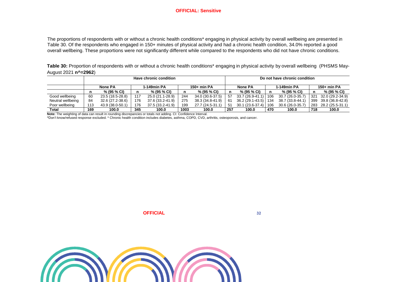#### **OFFICIAL: Sensitive**

The proportions of respondents with or without a chronic health conditions\* engaging in physical activity by overall wellbeing are presented in [Table 30.](#page-31-0) Of the respondents who engaged in 150+ minutes of physical activity and had a chronic health condition, 34.0% reported a good overall wellbeing. These proportions were not significantly different while compared to the respondents who did not have chronic conditions.

<span id="page-31-0"></span>Table 30: Proportion of respondents with or without a chronic health conditions<sup>\*</sup> engaging in physical activity by overall wellbeing (PHSMS May-August 2021 **n^=2962**)

|                   | Have chronic condition                |                  |     |                  |      | Do not have chronic condition |                        |                        |     |                  |             |                      |
|-------------------|---------------------------------------|------------------|-----|------------------|------|-------------------------------|------------------------|------------------------|-----|------------------|-------------|----------------------|
|                   | 1-149min PA<br>150+ min PA<br>None PA |                  |     |                  |      |                               | 1-149min PA<br>None PA |                        |     |                  | 150+ min PA |                      |
|                   |                                       | % (95 % CI)      | n   | % (95 % CI)      | n    | % (95 % CI)                   | n                      | % (95 % CI)            |     | % (95 % CI)      | n           | % (95 % CI)          |
| Good wellbeing    | 60                                    | 23.5 (18.5-28.8) | 117 | 25.0 (21.1-28.9) | 244  | 34.0 (30.6-37.5)              | 57                     | $33.7(26.9-41.1)$      | 106 | 30.7 (26.0-35.7) | 321         | 32.0 (29.2-34.9)     |
| Neutral wellbeing | 84                                    | 32.6 (27.2-38.6) | 176 | 37.6 (33.2-41.9) | 275  | 38.3 (34.8-41.9)              | 61                     | 36.2 (29.1-43.5)   134 |     | 38.7 (33.8-44.1) | 399         | 39.8 (36.8-42.8)     |
| Poor wellbeing    | 113                                   | 43.9 (38.0-50.1) | 176 | 37.5 (33.2-41.9) | 199  | 27.7 (24.5-31.1)              | 51                     | 30.1 (23.6-37.4)   106 |     | 30.6 (26.0-35.7) |             | 283 28.2 (25.5-31.1) |
| Total             | 169                                   | 100.0            | 345 | 100.0            | 1003 | 100.0                         | 257                    | 100.0                  | 470 | 100.0            | 718         | 100.0                |

**Note:** The weighting of data can result in rounding discrepancies or totals not adding. CI: Confidence Interval.

^Don't know/refused response excluded. \* Chronic health condition includes diabetes, asthma, COPD, CVD, arthritis, osteoporosis, and cancer.



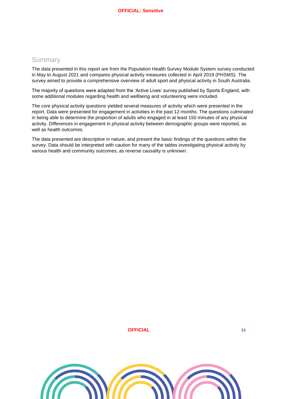## <span id="page-32-0"></span>**Summary**

The data presented in this report are from the Population Health Survey Module System survey conducted in May to August 2021 and compares physical activity measures collected in April 2019 (PHSMS). The survey aimed to provide a comprehensive overview of adult sport and physical activity in South Australia.

The majority of questions were adapted from the 'Active Lives' survey published by Sports England, with some additional modules regarding health and wellbeing and volunteering were included.

The core physical activity questions yielded several measures of activity which were presented in the report. Data were presented for engagement in activities in the past 12-months. The questions culminated in being able to determine the proportion of adults who engaged in at least 150 minutes of any physical activity. Differences in engagement in physical activity between demographic groups were reported, as well as health outcomes.

The data presented are descriptive in nature, and present the basic findings of the questions within the survey. Data should be interpreted with caution for many of the tables investigating physical activity by various health and community outcomes, as reverse causality is unknown.